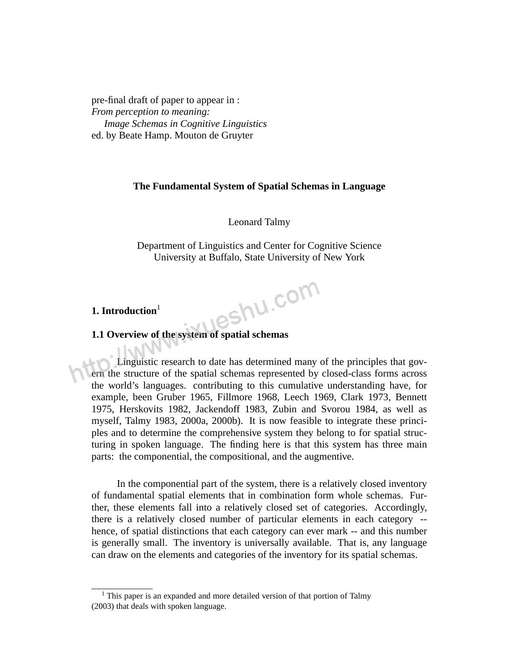pre-final draft of paper to appear in : *From perception to meaning: Image Schemas in Cognitive Linguistics* ed. by Beate Hamp. Mouton de Gruyter

## **The Fundamental System of Spatial Schemas in Language**

Leonard Talmy

Department of Linguistics and Center for Cognitive Science University at Buffalo, State University of New York

# **1. Introduction**<sup>1</sup>

# **1.1 Overview of the system of spatial schemas**

Linguistic research to date has determined many of the principles that govern the structure of the spatial schemas represented by closed-class forms across the world's languages. contributing to this cumulative understanding have, for example, been Gruber 1965, Fillmore 1968, Leech 1969, Clark 1973, Bennett 1975, Herskovits 1982, Jackendoff 1983, Zubin and Svorou 1984, as well as myself, Talmy 1983, 2000a, 2000b). It is now feasible to integrate these principles and to determine the comprehensive system they belong to for spatial structuring in spoken language. The finding here is that this system has three main parts: the componential, the compositional, and the augmentive.

In the componential part of the system, there is a relatively closed inventory of fundamental spatial elements that in combination form whole schemas. Further, these elements fall into a relatively closed set of categories. Accordingly, there is a relatively closed number of particular elements in each category - hence, of spatial distinctions that each category can ever mark -- and this number is generally small. The inventory is universally available. That is, any language can draw on the elements and categories of the inventory for its spatial schemas.

 $1$  This paper is an expanded and more detailed version of that portion of Talmy (2003) that deals with spoken language.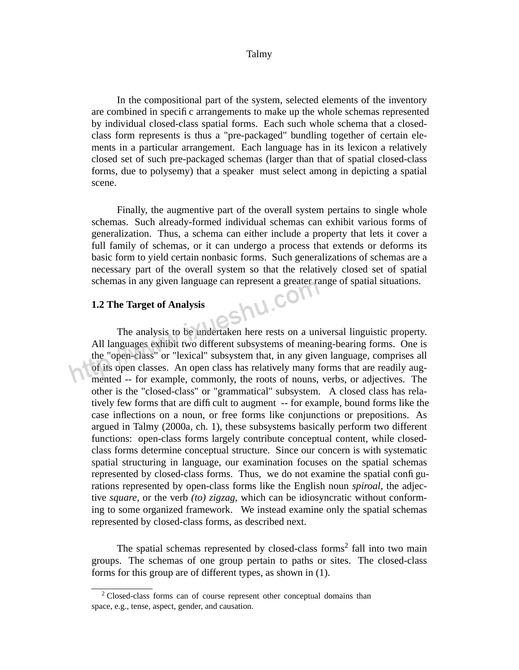In the compositional part of the system, selected elements of the inventory are combined in specific arrangements to make up the whole schemas represented by individual closed-class spatial forms. Each such whole schema that a closedclass form represents is thus a "pre-packaged" bundling together of certain elements in a particular arrangement. Each language has in its lexicon a relatively closed set of such pre-packaged schemas (larger than that of spatial closed-class forms, due to polysemy) that a speaker must select among in depicting a spatial scene.

Finally, the augmentive part of the overall system pertains to single whole schemas. Such already-formed individual schemas can exhibit various forms of generalization. Thus, a schema can either include a property that lets it cover a full family of schemas, or it can undergo a process that extends or deforms its basic form to yield certain nonbasic forms. Such generalizations of schemas are a necessary part of the overall system so that the relatively closed set of spatial schemas in any given language can represent a greater range of spatial situations.<br>1.2 The Target of Analysis

## **1.2 The Target of Analysis**

The analysis to be undertaken here rests on a universal linguistic property. All languages exhibit two different subsystems of meaning-bearing forms. One is the "open-class" or "lexical" subsystem that, in any given language, comprises all of its open classes. An open class has relatively many forms that are readily augmented -- for example, commonly, the roots of nouns, verbs, or adjectives. The other is the "closed-class" or "grammatical" subsystem. A closed class has relatively few forms that are difficult to augment -- for example, bound forms like the case inflections on a noun, or free forms like conjunctions or prepositions. As argued in Talmy (2000a, ch. 1), these subsystems basically perform two different functions: open-class forms largely contribute conceptual content, while closedclass forms determine conceptual structure. Since our concern is with systematic spatial structuring in language, our examination focuses on the spatial schemas represented by closed-class forms. Thus, we do not examine the spatial configurations represented by open-class forms like the English noun *spiroal*, the adjective *square*, or the verb *(to) zigzag*, which can be idiosyncratic without conforming to some organized framework. We instead examine only the spatial schemas represented by closed-class forms, as described next.

The spatial schemas represented by closed-class forms<sup>2</sup> fall into two main groups. The schemas of one group pertain to paths or sites. The closed-class forms for this group are of different types, as shown in (1).

 $2^2$  Closed-class forms can of course represent other conceptual domains than space, e.g., tense, aspect, gender, and causation.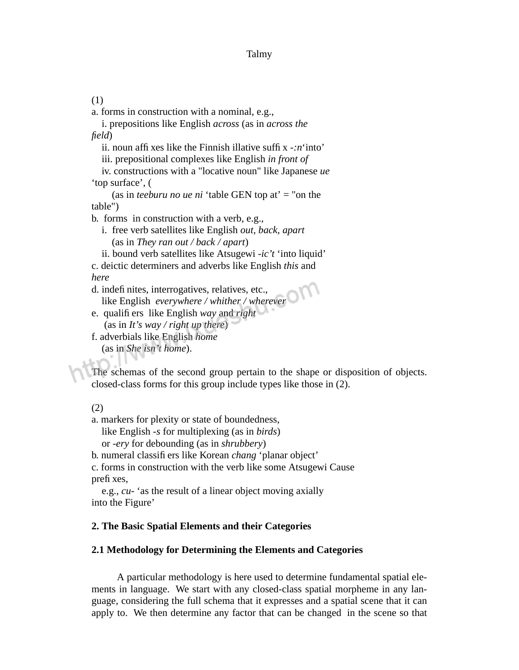(1)

a. forms in construction with a nominal, e.g.,

i. prepositions like English *across* (as in *across the field*)

ii. noun affixes like the Finnish illative suffix *-:n*'into'

iii. prepositional complexes like English *in front of*

iv. constructions with a "locative noun" like Japanese *ue* 'top surface', (

(as in *teeburu no ue ni* 'table GEN top at' = "on the table")

b. forms in construction with a verb, e.g.,

i. free verb satellites like English *out, back, apart* (as in *They ran out / back/apart*)

ii. bound verb satellites like Atsugewi *-ic't* 'into liquid'

c. deictic determiners and adverbs like English *this* and *here*

d. indefinites, interrogatives, relatives, etc., like English *everywhere/whither / wherever*

- e. qualifiers like English *way* and *right* (as in *It's way / right up there*)
- f. adverbials like English *home* (as in *She isn't home*).

The schemas of the second group pertain to the shape or disposition of objects. closed-class forms for this group include types like those in (2).

## (2)

a. markers for plexity or state of boundedness,

like English *-s* for multiplexing (as in *birds*)

or *-ery* for debounding (as in *shrubbery*)

b. numeral classifiers like Korean *chang* 'planar object'

c. forms in construction with the verb like some Atsugewi Cause prefixes,

e.g., *cu-* 'as the result of a linear object moving axially into the Figure'

# **2. The Basic Spatial Elements and their Categories**

## **2.1 Methodology for Determining the Elements and Categories**

A particular methodology is here used to determine fundamental spatial elements in language. We start with any closed-class spatial morpheme in any language, considering the full schema that it expresses and a spatial scene that it can apply to. We then determine any factor that can be changed in the scene so that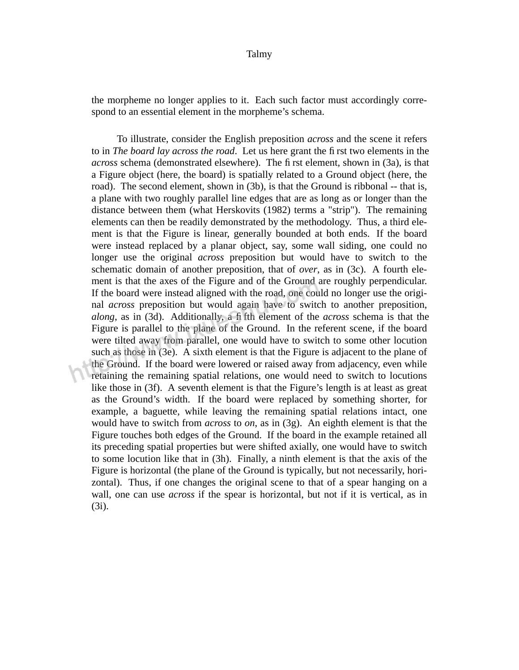the morpheme no longer applies to it. Each such factor must accordingly correspond to an essential element in the morpheme's schema.

To illustrate, consider the English preposition *across* and the scene it refers to in *The board lay across the road*. Let us here grant the first two elements in the *across* schema (demonstrated elsewhere). The first element, shown in (3a), is that a Figure object (here, the board) is spatially related to a Ground object (here, the road). The second element, shown in (3b), is that the Ground is ribbonal -- that is, a plane with two roughly parallel line edges that are as long as or longer than the distance between them (what Herskovits (1982) terms a "strip"). The remaining elements can then be readily demonstrated by the methodology. Thus, a third element is that the Figure is linear, generally bounded at both ends. If the board were instead replaced by a planar object, say, some wall siding, one could no longer use the original *across* preposition but would have to switch to the schematic domain of another preposition, that of *over*, as in (3c). A fourth element is that the axes of the Figure and of the Ground are roughly perpendicular. If the board were instead aligned with the road, one could no longer use the original *across* preposition but would again have to switch to another preposition, *along*, as in (3d). Additionally, a fifth element of the *across* schema is that the Figure is parallel to the plane of the Ground. In the referent scene, if the board were tilted away from parallel, one would have to switch to some other locution such as those in (3e). A sixth element is that the Figure is adjacent to the plane of the Ground. If the board were lowered or raised away from adjacency, even while retaining the remaining spatial relations, one would need to switch to locutions like those in (3f). A seventh element is that the Figure's length is at least as great as the Ground's width. If the board were replaced by something shorter, for example, a baguette, while leaving the remaining spatial relations intact, one would have to switch from *across* to *on*, as in (3g). An eighth element is that the Figure touches both edges of the Ground. If the board in the example retained all its preceding spatial properties but were shifted axially, one would have to switch to some locution like that in (3h). Finally, a ninth element is that the axis of the Figure is horizontal (the plane of the Ground is typically, but not necessarily, horizontal). Thus, if one changes the original scene to that of a spear hanging on a wall, one can use *across* if the spear is horizontal, but not if it is vertical, as in (3i).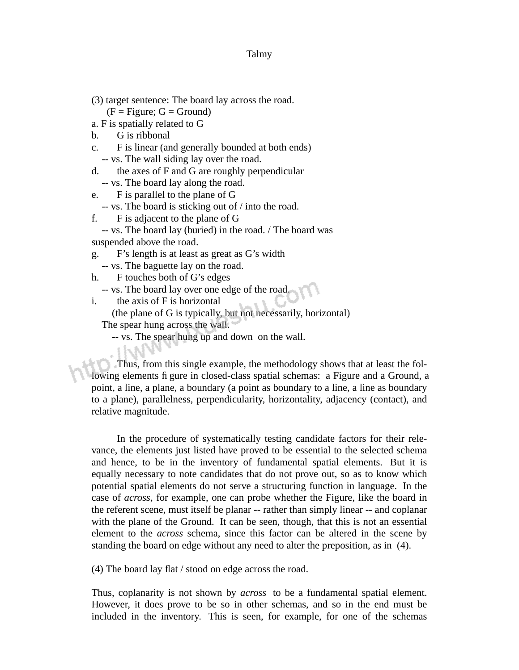- (3) target sentence: The board lay across the road.
	- $(F = Figure; G = Ground)$
- a. F is spatially related to G
- b. G is ribbonal
- c. F is linear (and generally bounded at both ends)
	- -- vs. The wall siding lay over the road.
- d. the axes of F and G are roughly perpendicular
	- -- vs. The board lay along the road.
- e. F is parallel to the plane of G
	- -- vs. The board is sticking out of / into the road.
- f. F is adjacent to the plane of G
- -- vs. The board lay (buried) in the road. / The board was suspended above the road.
- g. F's length is at least as great as G's width
- -- vs. The baguette lay on the road.
- h. F touches both of G's edges
	- -- vs. The board lay over one edge of the road.
- i. the axis of F is horizontal
	- (the plane of G is typically, but not necessarily, horizontal)
	- The spear hung across the wall.
		- -- vs. The spear hung up and down on the wall.

Thus, from this single example, the methodology shows that at least the following elements figure in closed-class spatial schemas: a Figure and a Ground, a point, a line, a plane, a boundary (a point as boundary to a line, a line as boundary to a plane), parallelness, perpendicularity, horizontality, adjacency (contact), and relative magnitude.

In the procedure of systematically testing candidate factors for their relevance, the elements just listed have proved to be essential to the selected schema and hence, to be in the inventory of fundamental spatial elements. But it is equally necessary to note candidates that do not prove out, so as to know which potential spatial elements do not serve a structuring function in language. In the case of *across*, for example, one can probe whether the Figure, like the board in the referent scene, must itself be planar -- rather than simply linear -- and coplanar with the plane of the Ground. It can be seen, though, that this is not an essential element to the *across* schema, since this factor can be altered in the scene by standing the board on edge without any need to alter the preposition, as in (4).

(4) The board lay flat / stood on edge across the road.

Thus, coplanarity is not shown by *across* to be a fundamental spatial element. However, it does prove to be so in other schemas, and so in the end must be included in the inventory. This is seen, for example, for one of the schemas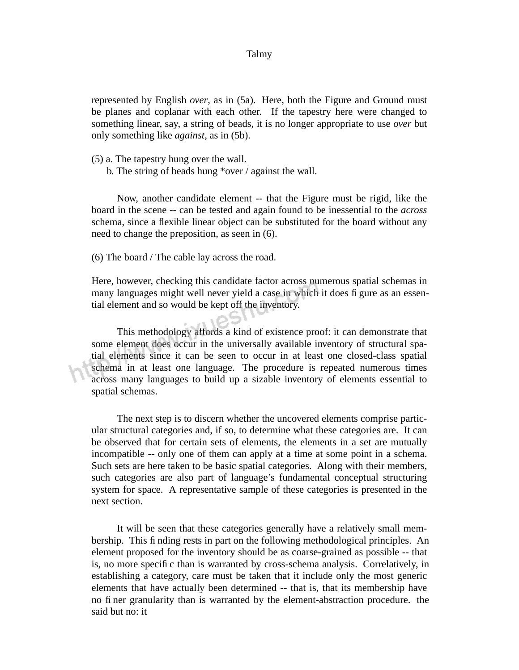represented by English *over*, as in (5a). Here, both the Figure and Ground must be planes and coplanar with each other. If the tapestry here were changed to something linear, say, a string of beads, it is no longer appropriate to use *over* but only something like *against*, as in (5b).

(5) a. The tapestry hung over the wall.

b. The string of beads hung \*over/against the wall.

Now, another candidate element -- that the Figure must be rigid, like the board in the scene -- can be tested and again found to be inessential to the *across* schema, since a flexible linear object can be substituted for the board without any need to change the preposition, as seen in (6).

(6) The board / The cable lay across the road.

Here, however, checking this candidate factor across numerous spatial schemas in many languages might well never yield a case in which it does figure as an essential element and so would be kept off the inventory.

This methodology affords a kind of existence proof: it can demonstrate that some element does occur in the universally available inventory of structural spatial elements since it can be seen to occur in at least one closed-class spatial schema in at least one language. The procedure is repeated numerous times across many languages to build up a sizable inventory of elements essential to spatial schemas.

The next step is to discern whether the uncovered elements comprise particular structural categories and, if so, to determine what these categories are. It can be observed that for certain sets of elements, the elements in a set are mutually incompatible -- only one of them can apply at a time at some point in a schema. Such sets are here taken to be basic spatial categories. Along with their members, such categories are also part of language's fundamental conceptual structuring system for space. A representative sample of these categories is presented in the next section.

It will be seen that these categories generally have a relatively small membership. This finding rests in part on the following methodological principles. An element proposed for the inventory should be as coarse-grained as possible -- that is, no more specific than is warranted by cross-schema analysis. Correlatively, in establishing a category, care must be taken that it include only the most generic elements that have actually been determined -- that is, that its membership have no finer granularity than is warranted by the element-abstraction procedure. the said but no: it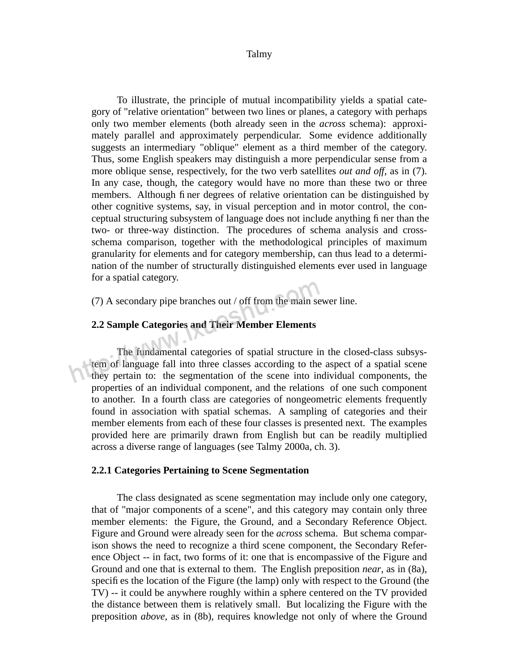To illustrate, the principle of mutual incompatibility yields a spatial category of "relative orientation" between two lines or planes, a category with perhaps only two member elements (both already seen in the *across* schema): approximately parallel and approximately perpendicular. Some evidence additionally suggests an intermediary "oblique" element as a third member of the category. Thus, some English speakers may distinguish a more perpendicular sense from a more oblique sense, respectively, for the two verb satellites *out and off*, as in (7). In any case, though, the category would have no more than these two or three members. Although finer degrees of relative orientation can be distinguished by other cognitive systems, say, in visual perception and in motor control, the conceptual structuring subsystem of language does not include anything finer than the two- or three-way distinction. The procedures of schema analysis and crossschema comparison, together with the methodological principles of maximum granularity for elements and for category membership, can thus lead to a determination of the number of structurally distinguished elements ever used in language for a spatial category.

(7) A secondary pipe branches out / off from the main sewer line.

## **2.2 Sample Categories and Their Member Elements**

The fundamental categories of spatial structure in the closed-class subsystem of language fall into three classes according to the aspect of a spatial scene they pertain to: the segmentation of the scene into individual components, the properties of an individual component, and the relations of one such component to another. In a fourth class are categories of nongeometric elements frequently found in association with spatial schemas. A sampling of categories and their member elements from each of these four classes is presented next. The examples provided here are primarily drawn from English but can be readily multiplied across a diverse range of languages (see Talmy 2000a, ch. 3).

#### **2.2.1 Categories Pertaining to Scene Segmentation**

The class designated as scene segmentation may include only one category, that of "major components of a scene", and this category may contain only three member elements: the Figure, the Ground, and a Secondary Reference Object. Figure and Ground were already seen for the *across* schema. But schema comparison shows the need to recognize a third scene component, the Secondary Reference Object -- in fact, two forms of it: one that is encompassive of the Figure and Ground and one that is external to them. The English preposition *near*, as in (8a), specifies the location of the Figure (the lamp) only with respect to the Ground (the TV) -- it could be anywhere roughly within a sphere centered on the TV provided the distance between them is relatively small. But localizing the Figure with the preposition *above*, as in (8b), requires knowledge not only of where the Ground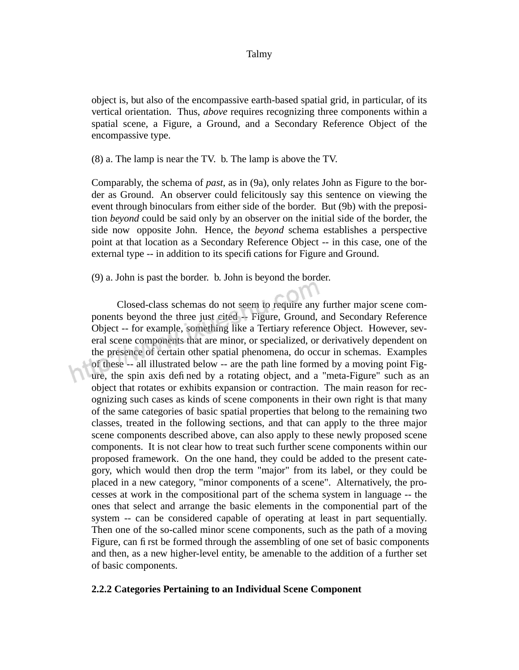object is, but also of the encompassive earth-based spatial grid, in particular, of its vertical orientation. Thus, *above* requires recognizing three components within a spatial scene, a Figure, a Ground, and a Secondary Reference Object of the encompassive type.

(8) a. The lamp is near the TV. b. The lamp is above the TV.

Comparably, the schema of *past*, as in (9a), only relates John as Figure to the border as Ground. An observer could felicitously say this sentence on viewing the event through binoculars from either side of the border. But (9b) with the preposition *beyond* could be said only by an observer on the initial side of the border, the side now opposite John. Hence, the *beyond* schema establishes a perspective point at that location as a Secondary Reference Object -- in this case, one of the external type -- in addition to its specifications for Figure and Ground.

(9) a. John is past the border. b. John is beyond the border.

Closed-class schemas do not seem to require any further major scene components beyond the three just cited -- Figure, Ground, and Secondary Reference Object -- for example, something like a Tertiary reference Object. However, several scene components that are minor, or specialized, or derivatively dependent on the presence of certain other spatial phenomena, do occur in schemas. Examples of these -- all illustrated below -- are the path line formed by a moving point Figure, the spin axis defined by a rotating object, and a "meta-Figure" such as an object that rotates or exhibits expansion or contraction. The main reason for recognizing such cases as kinds of scene components in their own right is that many of the same categories of basic spatial properties that belong to the remaining two classes, treated in the following sections, and that can apply to the three major scene components described above, can also apply to these newly proposed scene components. It is not clear how to treat such further scene components within our proposed framework. On the one hand, they could be added to the present category, which would then drop the term "major" from its label, or they could be placed in a new category, "minor components of a scene". Alternatively, the processes at work in the compositional part of the schema system in language -- the ones that select and arrange the basic elements in the componential part of the system -- can be considered capable of operating at least in part sequentially. Then one of the so-called minor scene components, such as the path of a moving Figure, can first be formed through the assembling of one set of basic components and then, as a new higher-level entity, be amenable to the addition of a further set of basic components.

## **2.2.2 Categories Pertaining to an Individual Scene Component**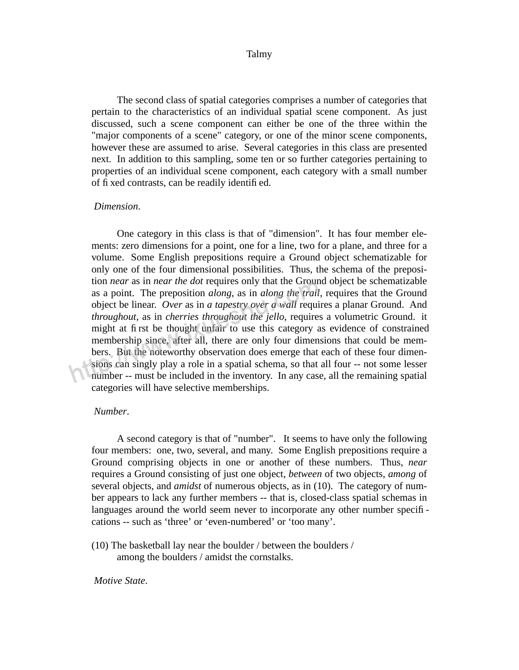The second class of spatial categories comprises a number of categories that pertain to the characteristics of an individual spatial scene component. As just discussed, such a scene component can either be one of the three within the "major components of a scene" category, or one of the minor scene components, however these are assumed to arise. Several categories in this class are presented next. In addition to this sampling, some ten or so further categories pertaining to properties of an individual scene component, each category with a small number of fixed contrasts, can be readily identified.

## *Dimension*.

One category in this class is that of "dimension". It has four member elements: zero dimensions for a point, one for a line, two for a plane, and three for a volume. Some English prepositions require a Ground object schematizable for only one of the four dimensional possibilities. Thus, the schema of the preposition *near* as in *near the dot* requires only that the Ground object be schematizable as a point. The preposition *along*, as in *along the trail*, requires that the Ground object be linear. *Over* as in *a tapestry over a wall* requires a planar Ground. And *throughout*, as in *cherries throughout the jello*, requires a volumetric Ground. it might at first be thought unfair to use this category as evidence of constrained membership since, after all, there are only four dimensions that could be members. But the noteworthy observation does emerge that each of these four dimensions can singly play a role in a spatial schema, so that all four -- not some lesser number -- must be included in the inventory. In any case, all the remaining spatial categories will have selective memberships.

#### *Number*.

A second category is that of "number". It seems to have only the following four members: one, two, several, and many. Some English prepositions require a Ground comprising objects in one or another of these numbers. Thus, *near* requires a Ground consisting of just one object, *between* of two objects, *among* of several objects, and *amidst* of numerous objects, as in (10). The category of number appears to lack any further members -- that is, closed-class spatial schemas in languages around the world seem never to incorporate any other number specifications -- such as 'three' or 'even-numbered' or 'too many'.

(10) The basketball lay near the boulder / between the boulders / among the boulders / amidst the cornstalks.

## *Motive State*.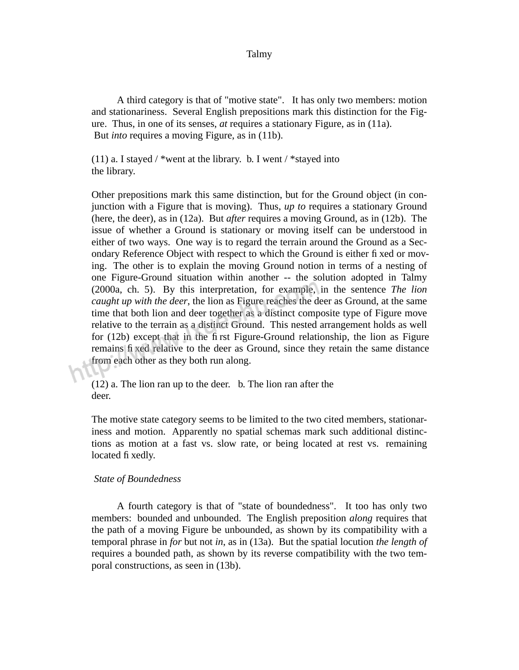A third category is that of "motive state". It has only two members: motion and stationariness. Several English prepositions mark this distinction for the Figure. Thus, in one of its senses, *at* requires a stationary Figure, as in (11a). But *into* requires a moving Figure, as in (11b).

(11) a. I stayed  $/$  \*went at the library. b. I went  $/$  \*stayed into the library.

Other prepositions mark this same distinction, but for the Ground object (in conjunction with a Figure that is moving). Thus, *up to* requires a stationary Ground (here, the deer), as in (12a). But *after* requires a moving Ground, as in (12b). The issue of whether a Ground is stationary or moving itself can be understood in either of two ways. One way is to regard the terrain around the Ground as a Secondary Reference Object with respect to which the Ground is either fixed or moving. The other is to explain the moving Ground notion in terms of a nesting of one Figure-Ground situation within another -- the solution adopted in Talmy (2000a, ch. 5). By this interpretation, for example, in the sentence *The lion caught up with the deer*, the lion as Figure reaches the deer as Ground, at the same time that both lion and deer together as a distinct composite type of Figure move relative to the terrain as a distinct Ground. This nested arrangement holds as well for (12b) except that in the first Figure-Ground relationship, the lion as Figure remains fixed relative to the deer as Ground, since they retain the same distance from each other as they both run along.

(12) a. The lion ran up to the deer. b. The lion ran after the deer.

The motive state category seems to be limited to the two cited members, stationariness and motion. Apparently no spatial schemas mark such additional distinctions as motion at a fast vs. slow rate, or being located at rest vs. remaining located fixedly.

## *State of Boundedness*

A fourth category is that of "state of boundedness". It too has only two members: bounded and unbounded. The English preposition *along* requires that the path of a moving Figure be unbounded, as shown by its compatibility with a temporal phrase in *for* but not *in*, as in (13a). But the spatial locution *the length of* requires a bounded path, as shown by its reverse compatibility with the two temporal constructions, as seen in (13b).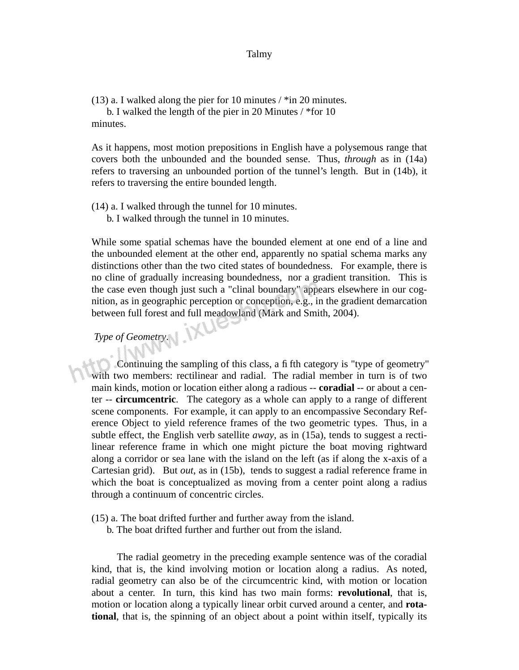(13) a. I walked along the pier for 10 minutes / \*in 20 minutes.

b. I walked the length of the pier in 20 Minutes / \*for 10 minutes.

As it happens, most motion prepositions in English have a polysemous range that covers both the unbounded and the bounded sense. Thus, *through* as in (14a) refers to traversing an unbounded portion of the tunnel's length. But in (14b), it refers to traversing the entire bounded length.

(14) a. I walked through the tunnel for 10 minutes.

b. I walked through the tunnel in 10 minutes.

While some spatial schemas have the bounded element at one end of a line and the unbounded element at the other end, apparently no spatial schema marks any distinctions other than the two cited states of boundedness. For example, there is no cline of gradually increasing boundedness, nor a gradient transition. This is the case even though just such a "clinal boundary" appears elsewhere in our cognition, as in geographic perception or conception, e.g., in the gradient demarcation between full forest and full meadowland (Mark and Smith, 2004).

*Type of Geometry*.

Continuing the sampling of this class, a fifth category is "type of geometry" with two members: rectilinear and radial. The radial member in turn is of two main kinds, motion or location either along a radious -- **coradial** -- or about a center -- **circumcentric**. The category as a whole can apply to a range of different scene components. For example, it can apply to an encompassive Secondary Reference Object to yield reference frames of the two geometric types. Thus, in a subtle effect, the English verb satellite *away*, as in (15a), tends to suggest a rectilinear reference frame in which one might picture the boat moving rightward along a corridor or sea lane with the island on the left (as if along the x-axis of a Cartesian grid). But *out*, as in (15b), tends to suggest a radial reference frame in which the boat is conceptualized as moving from a center point along a radius through a continuum of concentric circles.

(15) a. The boat drifted further and further away from the island.

b. The boat drifted further and further out from the island.

The radial geometry in the preceding example sentence was of the coradial kind, that is, the kind involving motion or location along a radius. As noted, radial geometry can also be of the circumcentric kind, with motion or location about a center. In turn, this kind has two main forms: **re volutional**, that is, motion or location along a typically linear orbit curved around a center, and **rotational**, that is, the spinning of an object about a point within itself, typically its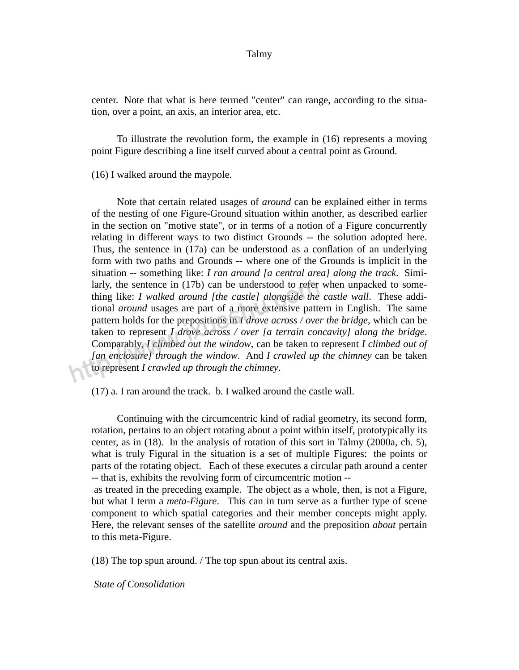center. Note that what is here termed "center" can range, according to the situation, over a point, an axis, an interior area, etc.

To illustrate the revolution form, the example in (16) represents a moving point Figure describing a line itself curved about a central point as Ground.

(16) I walked around the maypole.

Note that certain related usages of *around* can be explained either in terms of the nesting of one Figure-Ground situation within another, as described earlier in the section on "motive state", or in terms of a notion of a Figure concurrently relating in different ways to two distinct Grounds -- the solution adopted here. Thus, the sentence in (17a) can be understood as a conflation of an underlying form with two paths and Grounds -- where one of the Grounds is implicit in the situation -- something like: *I ran around [a central area] along the track*. Similarly, the sentence in (17b) can be understood to refer when unpacked to something like: *I walked around [the castle] alongside the castle wall*. These additional *around* usages are part of a more extensive pattern in English. The same pattern holds for the prepositions in *I drove across / over the bridge*, which can be taken to represent *I drove across / over [a terrain concavity] along the bridge.* Comparably, *I climbed out the window*, can be taken to represent *I climbed out of [an enclosure] through the window*. And *I crawled up the chimney* can be taken to represent *I crawled up through the chimney*.

(17) a. I ran around the track. b. I walked around the castle wall.

Continuing with the circumcentric kind of radial geometry, its second form, rotation, pertains to an object rotating about a point within itself, prototypically its center, as in (18). In the analysis of rotation of this sort in Talmy (2000a, ch. 5), what is truly Figural in the situation is a set of multiple Figures: the points or parts of the rotating object. Each of these executes a circular path around a center -- that is, exhibits the revolving form of circumcentric motion --

as treated in the preceding example. The object as a whole, then, is not a Figure, but what I term a *meta-Figure*. This can in turn serve as a further type of scene component to which spatial categories and their member concepts might apply. Here, the relevant senses of the satellite *around* and the preposition *about* pertain to this meta-Figure.

(18) The top spun around. / The top spun about its central axis.

*State of Consolidation*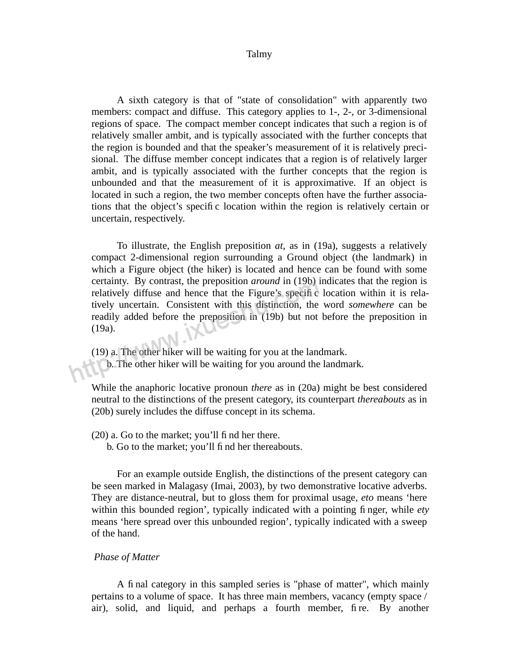A sixth category is that of "state of consolidation" with apparently two members: compact and diffuse. This category applies to 1-, 2-, or 3-dimensional regions of space. The compact member concept indicates that such a region is of relatively smaller ambit, and is typically associated with the further concepts that the region is bounded and that the speaker's measurement of it is relatively precisional. The diffuse member concept indicates that a region is of relatively larger ambit, and is typically associated with the further concepts that the region is unbounded and that the measurement of it is approximative. If an object is located in such a region, the two member concepts often have the further associations that the object's specific location within the region is relatively certain or uncertain, respectively.

To illustrate, the English preposition *at*, as in (19a), suggests a relatively compact 2-dimensional region surrounding a Ground object (the landmark) in which a Figure object (the hiker) is located and hence can be found with some certainty. By contrast, the preposition *around* in (19b) indicates that the region is relatively diffuse and hence that the Figure's specific location within it is relatively uncertain. Consistent with this distinction, the word *somewhere* can be readily added before the preposition in (19b) but not before the preposition in (19a).

(19) a. The other hiker will be waiting for you at the landmark.

b. The other hiker will be waiting for you around the landmark.

While the anaphoric locative pronoun *there* as in (20a) might be best considered neutral to the distinctions of the present category, its counterpart *thereabouts* as in (20b) surely includes the diffuse concept in its schema.

- (20) a. Go to the market; you'll find her there.
	- b. Go to the market; you'll find her thereabouts.

For an example outside English, the distinctions of the present category can be seen marked in Malagasy (Imai, 2003), by two demonstrative locative adverbs. They are distance-neutral, but to gloss them for proximal usage, *eto* means 'here within this bounded region', typically indicated with a pointing finger, while *ety* means 'here spread over this unbounded region', typically indicated with a sweep of the hand.

#### *Phase of Matter*

A final category in this sampled series is "phase of matter", which mainly pertains to a volume of space. It has three main members, vacancy (empty space / air), solid, and liquid, and perhaps a fourth member, fire. By another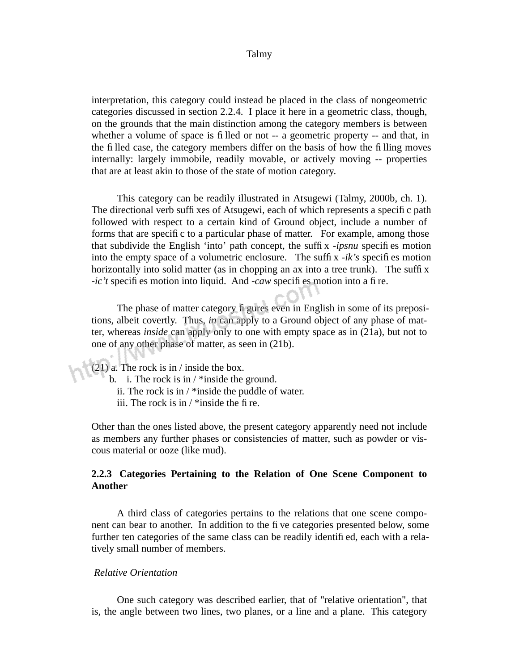interpretation, this category could instead be placed in the class of nongeometric categories discussed in section 2.2.4. I place it here in a geometric class, though, on the grounds that the main distinction among the category members is between whether a volume of space is filled or not -- a geometric property -- and that, in the filled case, the category members differ on the basis of how the filling moves internally: largely immobile, readily movable, or actively moving -- properties that are at least akin to those of the state of motion category.

This category can be readily illustrated in Atsugewi (Talmy, 2000b, ch. 1). The directional verb suffixes of Atsugewi, each of which represents a specific path followed with respect to a certain kind of Ground object, include a number of forms that are specific to a particular phase of matter. For example, among those that subdivide the English 'into' path concept, the suffix *-ipsnu* specifies motion into the empty space of a volumetric enclosure. The suffix *-ik's* specifies motion horizontally into solid matter (as in chopping an ax into a tree trunk). The suffix *-ic't* specifies motion into liquid. And *-caw* specifies motion into a fire.

The phase of matter category figures even in English in some of its prepositions, albeit covertly. Thus, *in* can apply to a Ground object of any phase of matter, whereas *inside* can apply only to one with empty space as in (21a), but not to one of any other phase of matter, as seen in (21b).

(21) a. The rock is in / inside the box.

b. i. The rock is in / \*inside the ground.

ii. The rock is in / \*inside the puddle of water.

iii. The rock is in  $/$  \*inside the fire.

Other than the ones listed above, the present category apparently need not include as members any further phases or consistencies of matter, such as powder or viscous material or ooze (like mud).

## **2.2.3 Categories Pertaining to the Relation of One Scene Component to Another**

A third class of categories pertains to the relations that one scene component can bear to another. In addition to the five categories presented below, some further ten categories of the same class can be readily identified, each with a relatively small number of members.

## *Relative Orientation*

One such category was described earlier, that of "relative orientation", that is, the angle between two lines, two planes, or a line and a plane. This category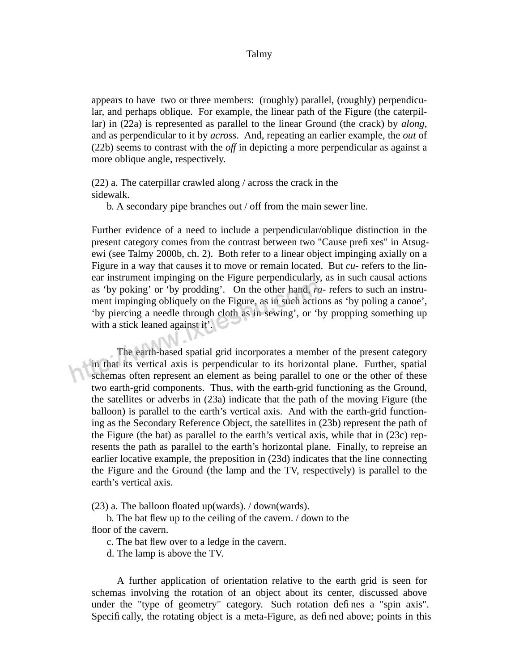appears to have two or three members: (roughly) parallel, (roughly) perpendicular, and perhaps oblique. For example, the linear path of the Figure (the caterpillar) in (22a) is represented as parallel to the linear Ground (the crack) by *along*, and as perpendicular to it by *across*. And, repeating an earlier example, the *out* of (22b) seems to contrast with the *off* in depicting a more perpendicular as against a more oblique angle, respectively.

(22) a. The caterpillar crawled along / across the crack in the sidewalk.

b. A secondary pipe branches out / off from the main sewer line.

Further evidence of a need to include a perpendicular/oblique distinction in the present category comes from the contrast between two "Cause prefixes" in Atsugewi (see Talmy 2000b, ch. 2). Both refer to a linear object impinging axially on a Figure in a way that causes it to move or remain located. But *cu-* refers to the linear instrument impinging on the Figure perpendicularly, as in such causal actions as 'by poking' or 'by prodding'. On the other hand, *ra-* refers to such an instrument impinging obliquely on the Figure, as in such actions as 'by poling a canoe', 'by piercing a needle through cloth as in sewing', or 'by propping something up with a stick leaned against it'.

The earth-based spatial grid incorporates a member of the present category in that its vertical axis is perpendicular to its horizontal plane. Further, spatial schemas often represent an element as being parallel to one or the other of these two earth-grid components. Thus, with the earth-grid functioning as the Ground, the satellites or adverbs in (23a) indicate that the path of the moving Figure (the balloon) is parallel to the earth's vertical axis. And with the earth-grid functioning as the Secondary Reference Object, the satellites in (23b) represent the path of the Figure (the bat) as parallel to the earth's vertical axis, while that in (23c) represents the path as parallel to the earth's horizontal plane. Finally, to repreise an earlier locative example, the preposition in (23d) indicates that the line connecting the Figure and the Ground (the lamp and the TV, respectively) is parallel to the earth's vertical axis.

(23) a. The balloon floated up(wards). / down(wards).

b. The bat flew up to the ceiling of the cavern. / down to the floor of the cavern.

c. The bat flew over to a ledge in the cavern.

d. The lamp is above the TV.

A further application of orientation relative to the earth grid is seen for schemas involving the rotation of an object about its center, discussed above under the "type of geometry" category. Such rotation defines a "spin axis". Specifically, the rotating object is a meta-Figure, as defined above; points in this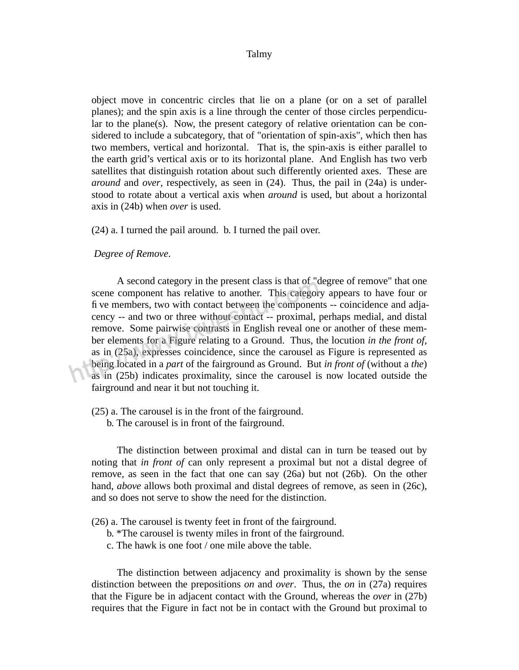object move in concentric circles that lie on a plane (or on a set of parallel planes); and the spin axis is a line through the center of those circles perpendicular to the plane(s). Now, the present category of relative orientation can be considered to include a subcategory, that of "orientation of spin-axis", which then has two members, vertical and horizontal. That is, the spin-axis is either parallel to the earth grid's vertical axis or to its horizontal plane. And English has two verb satellites that distinguish rotation about such differently oriented axes. These are *around* and *over*, respectively, as seen in (24). Thus, the pail in (24a) is understood to rotate about a vertical axis when *around* is used, but about a horizontal axis in (24b) when *over* is used.

(24) a. I turned the pail around. b. I turned the pail over.

*Degree of Remove*.

A second category in the present class is that of "degree of remove" that one scene component has relative to another. This category appears to have four or five members, two with contact between the components -- coincidence and adjacency -- and two or three without contact -- proximal, perhaps medial, and distal remove. Some pairwise contrasts in English reveal one or another of these member elements for a Figure relating to a Ground. Thus, the locution *in the front of*, as in (25a), expresses coincidence, since the carousel as Figure is represented as being located in a *part* of the fairground as Ground. But *in front of* (without a *the*) as in (25b) indicates proximality, since the carousel is now located outside the fairground and near it but not touching it.

(25) a. The carousel is in the front of the fairground.

b. The carousel is in front of the fairground.

The distinction between proximal and distal can in turn be teased out by noting that *in front of* can only represent a proximal but not a distal degree of remove, as seen in the fact that one can say (26a) but not (26b). On the other hand, *above* allows both proximal and distal degrees of remove, as seen in (26c), and so does not serve to show the need for the distinction.

(26) a. The carousel is twenty feet in front of the fairground.

- b. \*The carousel is twenty miles in front of the fairground.
- c. The hawk is one foot / one mile above the table.

The distinction between adjacency and proximality is shown by the sense distinction between the prepositions *on* and *over*. Thus, the *on* in (27a) requires that the Figure be in adjacent contact with the Ground, whereas the *over* in (27b) requires that the Figure in fact not be in contact with the Ground but proximal to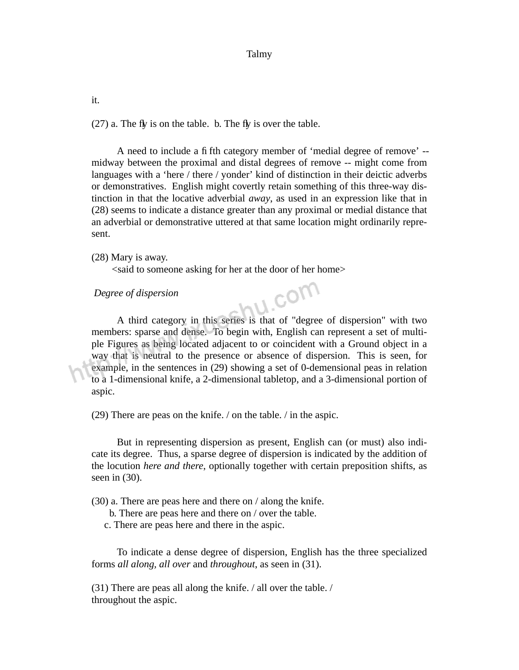it.

(27) a. The fly is on the table. b. The fly is over the table.

A need to include a fifth category member of 'medial degree of remove' - midway between the proximal and distal degrees of remove -- might come from languages with a 'here / there / yonder' kind of distinction in their deictic adverbs or demonstratives. English might covertly retain something of this three-way distinction in that the locative adverbial *away*, as used in an expression like that in (28) seems to indicate a distance greater than any proximal or medial distance that an adverbial or demonstrative uttered at that same location might ordinarily represent.

(28) Mary is away.

<said to someone asking for her at the door of her home>

*Degree of dispersion*

A third category in this series is that of "degree of dispersion" with two members: sparse and dense. To begin with, English can represent a set of multiple Figures as being located adjacent to or coincident with a Ground object in a way that is neutral to the presence or absence of dispersion. This is seen, for example, in the sentences in (29) showing a set of 0-demensional peas in relation to a 1-dimensional knife, a 2-dimensional tabletop, and a 3-dimensional portion of aspic.

**U.COM** 

(29) There are peas on the knife. / on the table. / in the aspic.

But in representing dispersion as present, English can (or must) also indicate its degree. Thus, a sparse degree of dispersion is indicated by the addition of the locution *here and there*, optionally together with certain preposition shifts, as seen in (30).

(30) a. There are peas here and there on / along the knife.

b. There are peas here and there on / over the table.

c. There are peas here and there in the aspic.

To indicate a dense degree of dispersion, English has the three specialized forms *all along, all over* and *throughout*, as seen in (31).

(31) There are peas all along the knife. / all over the table. / throughout the aspic.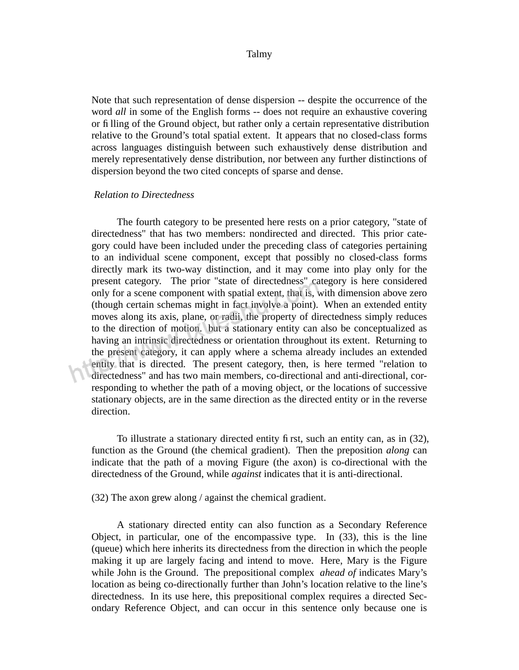Note that such representation of dense dispersion -- despite the occurrence of the word *all* in some of the English forms -- does not require an exhaustive covering or filling of the Ground object, but rather only a certain representative distribution relative to the Ground's total spatial extent. It appears that no closed-class forms across languages distinguish between such exhaustively dense distribution and merely representatively dense distribution, nor between any further distinctions of dispersion beyond the two cited concepts of sparse and dense.

#### *Relation to Directedness*

The fourth category to be presented here rests on a prior category, "state of directedness" that has two members: nondirected and directed. This prior category could have been included under the preceding class of categories pertaining to an individual scene component, except that possibly no closed-class forms directly mark its two-way distinction, and it may come into play only for the present category. The prior "state of directedness" category is here considered only for a scene component with spatial extent, that is, with dimension above zero (though certain schemas might in fact involve a point). When an extended entity moves along its axis, plane, or radii, the property of directedness simply reduces to the direction of motion. but a stationary entity can also be conceptualized as having an intrinsic directedness or orientation throughout its extent. Returning to the present category, it can apply where a schema already includes an extended entity that is directed. The present category, then, is here termed "relation to directedness" and has two main members, co-directional and anti-directional, corresponding to whether the path of a moving object, or the locations of successive stationary objects, are in the same direction as the directed entity or in the reverse direction.

To illustrate a stationary directed entity first, such an entity can, as in (32), function as the Ground (the chemical gradient). Then the preposition *along* can indicate that the path of a moving Figure (the axon) is co-directional with the directedness of the Ground, while *against* indicates that it is anti-directional.

(32) The axon grew along / against the chemical gradient.

A stationary directed entity can also function as a Secondary Reference Object, in particular, one of the encompassive type. In (33), this is the line (queue) which here inherits its directedness from the direction in which the people making it up are largely facing and intend to move. Here, Mary is the Figure while John is the Ground. The prepositional complex *ahead of* indicates Mary's location as being co-directionally further than John's location relative to the line's directedness. In its use here, this prepositional complex requires a directed Secondary Reference Object, and can occur in this sentence only because one is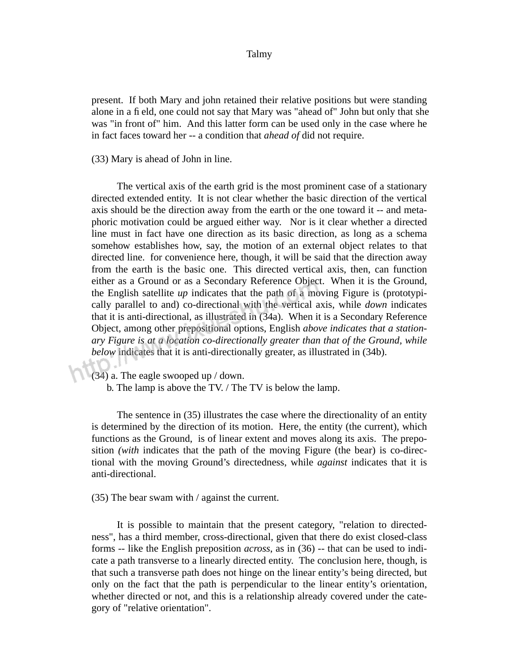present. If both Mary and john retained their relative positions but were standing alone in a field, one could not say that Mary was "ahead of" John but only that she was "in front of" him. And this latter form can be used only in the case where he in fact faces toward her -- a condition that *ahead of* did not require.

(33) Mary is ahead of John in line.

The vertical axis of the earth grid is the most prominent case of a stationary directed extended entity. It is not clear whether the basic direction of the vertical axis should be the direction away from the earth or the one toward it -- and metaphoric motivation could be argued either way. Nor is it clear whether a directed line must in fact have one direction as its basic direction, as long as a schema somehow establishes how, say, the motion of an external object relates to that directed line. for convenience here, though, it will be said that the direction away from the earth is the basic one. This directed vertical axis, then, can function either as a Ground or as a Secondary Reference Object. When it is the Ground, the English satellite *up* indicates that the path of a moving Figure is (prototypically parallel to and) co-directional with the vertical axis, while *down* indicates that it is anti-directional, as illustrated in (34a). When it is a Secondary Reference Object, among other prepositional options, English *above indicates that a stationary Figure is atalocation co-directionally greater than that of the Ground, while below* indicates that it is anti-directionally greater, as illustrated in (34b).

(34) a. The eagle swooped up / down.

b. The lamp is above the TV./The TV is below the lamp.

The sentence in (35) illustrates the case where the directionality of an entity is determined by the direction of its motion. Here, the entity (the current), which functions as the Ground, is of linear extent and moves along its axis. The preposition *(with* indicates that the path of the moving Figure (the bear) is co-directional with the moving Ground's directedness, while *against* indicates that it is anti-directional.

(35) The bear swam with / against the current.

It is possible to maintain that the present category, "relation to directedness", has a third member, cross-directional, given that there do exist closed-class forms -- like the English preposition *across*, as in (36) -- that can be used to indicate a path transverse to a linearly directed entity. The conclusion here, though, is that such a transverse path does not hinge on the linear entity's being directed, but only on the fact that the path is perpendicular to the linear entity's orientation, whether directed or not, and this is a relationship already covered under the category of "relative orientation".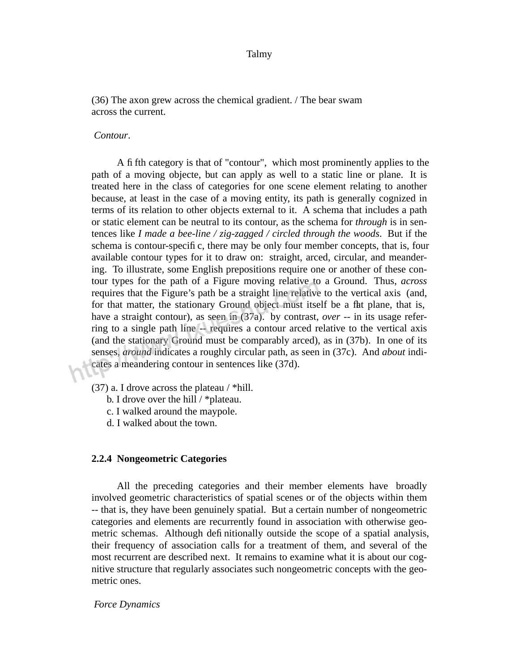(36) The axon grew across the chemical gradient. / The bear swam across the current.

*Contour*.

A fifth category is that of "contour", which most prominently applies to the path of a moving objecte, but can apply as well to a static line or plane. It is treated here in the class of categories for one scene element relating to another because, at least in the case of a moving entity, its path is generally cognized in terms of its relation to other objects external to it. A schema that includes a path or static element can be neutral to its contour, as the schema for *through* is in sentences like *I made a bee-line / zig-zagged/circled through the woods*. But if the schema is contour-specific, there may be only four member concepts, that is, four available contour types for it to draw on: straight, arced, circular, and meandering. To illustrate, some English prepositions require one or another of these contour types for the path of a Figure moving relative to a Ground. Thus, *across* requires that the Figure's path be a straight line relative to the vertical axis (and, for that matter, the stationary Ground object must itself be a flat plane, that is, have a straight contour), as seen in (37a). by contrast, *over* -- in its usage referring to a single path line -- requires a contour arced relative to the vertical axis (and the stationary Ground must be comparably arced), as in (37b). In one of its senses, *around* indicates a roughly circular path, as seen in (37c). And *about* indicates a meandering contour in sentences like (37d).

(37) a. I drove across the plateau / \*hill.

- b. I drove over the hill / \*plateau.
- c. I walked around the maypole.
- d. I walked about the town.

## **2.2.4 Nongeometric Categories**

All the preceding categories and their member elements have broadly involved geometric characteristics of spatial scenes or of the objects within them -- that is, they have been genuinely spatial. But a certain number of nongeometric categories and elements are recurrently found in association with otherwise geometric schemas. Although definitionally outside the scope of a spatial analysis, their frequency of association calls for a treatment of them, and several of the most recurrent are described next. It remains to examine what it is about our cognitive structure that regularly associates such nongeometric concepts with the geometric ones.

#### *Force Dynamics*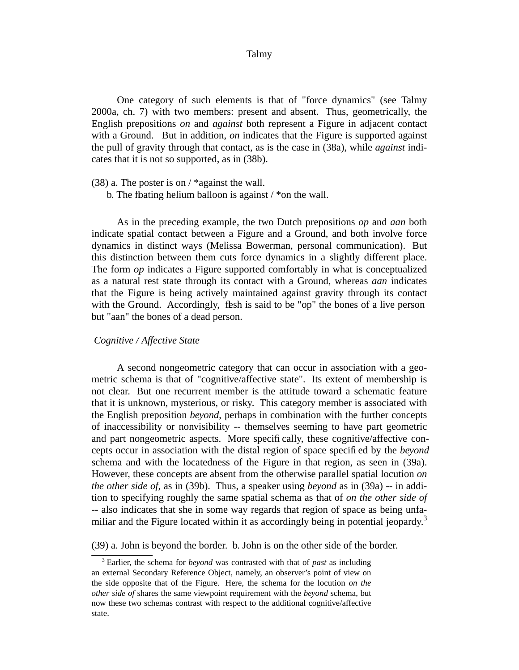One category of such elements is that of "force dynamics" (see Talmy 2000a, ch. 7) with two members: present and absent. Thus, geometrically, the English prepositions *on* and *against* both represent a Figure in adjacent contact with a Ground. But in addition, *on* indicates that the Figure is supported against the pull of gravity through that contact, as is the case in (38a), while *against* indicates that it is not so supported, as in (38b).

(38) a. The poster is on / \*against the wall.

b. The fbating helium balloon is against  $\ell$  \*on the wall.

As in the preceding example, the two Dutch prepositions *op* and *aan* both indicate spatial contact between a Figure and a Ground, and both involve force dynamics in distinct ways (Melissa Bowerman, personal communication). But this distinction between them cuts force dynamics in a slightly different place. The form *op* indicates a Figure supported comfortably in what is conceptualized as a natural rest state through its contact with a Ground, whereas *aan* indicates that the Figure is being actively maintained against gravity through its contact with the Ground. Accordingly, first is said to be "op" the bones of a live person but "aan" the bones of a dead person.

## *Cognitive / Affective State*

A second nongeometric category that can occur in association with a geometric schema is that of "cognitive/affective state". Its extent of membership is not clear. But one recurrent member is the attitude toward a schematic feature that it is unknown, mysterious, or risky. This category member is associated with the English preposition *beyond*, perhaps in combination with the further concepts of inaccessibility or nonvisibility -- themselves seeming to have part geometric and part nongeometric aspects. More specifically, these cognitive/affective concepts occur in association with the distal region of space specified by the *beyond* schema and with the locatedness of the Figure in that region, as seen in (39a). However, these concepts are absent from the otherwise parallel spatial locution *on the other side of*, as in (39b). Thus, a speaker using *beyond* as in (39a) -- in addition to specifying roughly the same spatial schema as that of *on the other side of* -- also indicates that she in some way regards that region of space as being unfamiliar and the Figure located within it as accordingly being in potential jeopardy.<sup>3</sup>

(39) a. John is beyond the border. b. John is on the other side of the border.

<sup>3</sup> Earlier, the schema for *beyond* was contrasted with that of *past* as including an external Secondary Reference Object, namely, an observer's point of view on the side opposite that of the Figure. Here, the schema for the locution *on the other side of* shares the same viewpoint requirement with the *beyond* schema, but now these two schemas contrast with respect to the additional cognitive/affective state.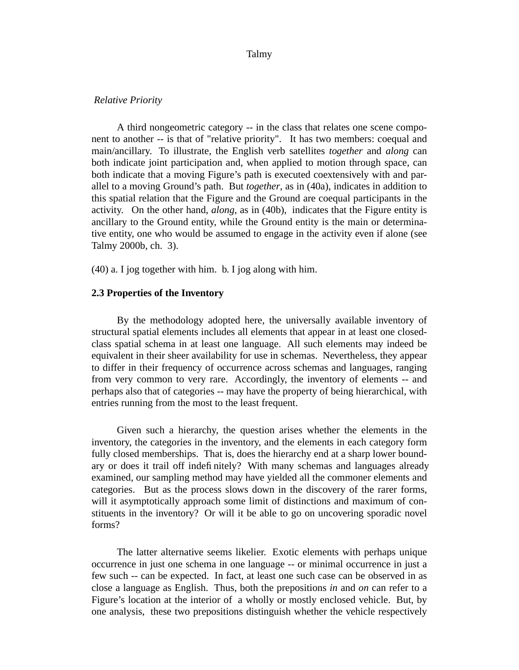#### *Relative Priority*

A third nongeometric category -- in the class that relates one scene component to another -- is that of "relative priority". It has two members: coequal and main/ancillary. To illustrate, the English verb satellites *together* and *along* can both indicate joint participation and, when applied to motion through space, can both indicate that a moving Figure's path is executed coextensively with and parallel to a moving Ground's path. But *together*, as in (40a), indicates in addition to this spatial relation that the Figure and the Ground are coequal participants in the activity. On the other hand, *along*, as in (40b), indicates that the Figure entity is ancillary to the Ground entity, while the Ground entity is the main or determinative entity, one who would be assumed to engage in the activity even if alone (see Talmy 2000b, ch. 3).

(40) a. I jog together with him. b. I jog along with him.

## **2.3 Properties of the Inventory**

By the methodology adopted here, the universally available inventory of structural spatial elements includes all elements that appear in at least one closedclass spatial schema in at least one language. All such elements may indeed be equivalent in their sheer availability for use in schemas. Nevertheless, they appear to differ in their frequency of occurrence across schemas and languages, ranging from very common to very rare. Accordingly, the inventory of elements -- and perhaps also that of categories -- may have the property of being hierarchical, with entries running from the most to the least frequent.

Given such a hierarchy, the question arises whether the elements in the inventory, the categories in the inventory, and the elements in each category form fully closed memberships. That is, does the hierarchy end at a sharp lower boundary or does it trail off indefinitely? With many schemas and languages already examined, our sampling method may have yielded all the commoner elements and categories. But as the process slows down in the discovery of the rarer forms, will it asymptotically approach some limit of distinctions and maximum of constituents in the inventory? Or will it be able to go on uncovering sporadic novel forms?

The latter alternative seems likelier. Exotic elements with perhaps unique occurrence in just one schema in one language -- or minimal occurrence in just a few such -- can be expected. In fact, at least one such case can be observed in as close a language as English. Thus, both the prepositions *in* and *on* can refer to a Figure's location at the interior of a wholly or mostly enclosed vehicle. But, by one analysis, these two prepositions distinguish whether the vehicle respectively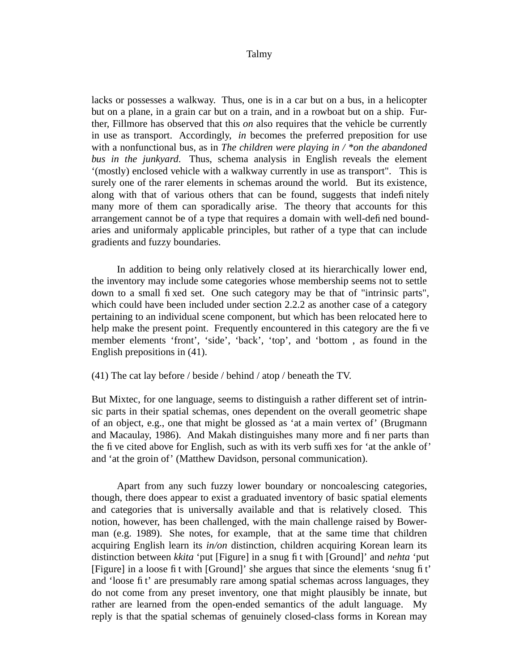lacks or possesses a walkway. Thus, one is in a car but on a bus, in a helicopter but on a plane, in a grain car but on a train, and in a rowboat but on a ship. Further, Fillmore has observed that this *on* also requires that the vehicle be currently in use as transport. Accordingly, *in* becomes the preferred preposition for use with a nonfunctional bus, as in *The children were playing in / \*on the abandoned bus in the junkyard*. Thus, schema analysis in English reveals the element '(mostly) enclosed vehicle with a walkway currently in use as transport". This is surely one of the rarer elements in schemas around the world. But its existence, along with that of various others that can be found, suggests that indefinitely many more of them can sporadically arise. The theory that accounts for this arrangement cannot be of a type that requires a domain with well-defined boundaries and uniformaly applicable principles, but rather of a type that can include gradients and fuzzy boundaries.

In addition to being only relatively closed at its hierarchically lower end, the inventory may include some categories whose membership seems not to settle down to a small fixed set. One such category may be that of "intrinsic parts", which could have been included under section 2.2.2 as another case of a category pertaining to an individual scene component, but which has been relocated here to help make the present point. Frequently encountered in this category are the five member elements 'front', 'side', 'back', 'top', and 'bottom , as found in the English prepositions in (41).

(41) The cat lay before / beside / behind / atop / beneath the TV.

But Mixtec, for one language, seems to distinguish a rather different set of intrinsic parts in their spatial schemas, ones dependent on the overall geometric shape of an object, e.g., one that might be glossed as 'at a main vertex of' (Brugmann and Macaulay, 1986). And Makah distinguishes many more and finer parts than the five cited above for English, such as with its verb suffixes for 'at the ankle of' and 'at the groin of' (Matthew Davidson, personal communication).

Apart from any such fuzzy lower boundary or noncoalescing categories, though, there does appear to exist a graduated inventory of basic spatial elements and categories that is universally available and that is relatively closed. This notion, however, has been challenged, with the main challenge raised by Bowerman (e.g. 1989). She notes, for example, that at the same time that children acquiring English learn its *in/on* distinction, children acquiring Korean learn its distinction between *kkita* 'put [Figure] in a snug fit with [Ground]' and *nehta* 'put [Figure] in a loose fit with [Ground]' she argues that since the elements 'snug fit' and 'loose fit' are presumably rare among spatial schemas across languages, they do not come from any preset inventory, one that might plausibly be innate, but rather are learned from the open-ended semantics of the adult language. My reply is that the spatial schemas of genuinely closed-class forms in Korean may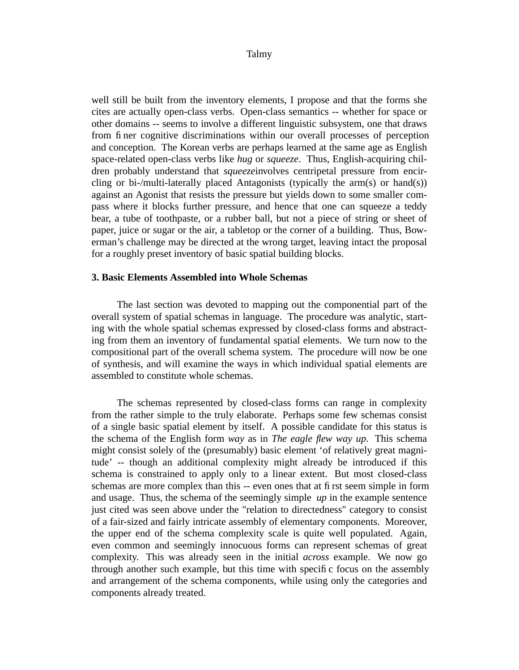well still be built from the inventory elements, I propose and that the forms she cites are actually open-class verbs. Open-class semantics -- whether for space or other domains -- seems to involve a different linguistic subsystem, one that draws from finer cognitive discriminations within our overall processes of perception and conception. The Korean verbs are perhaps learned at the same age as English space-related open-class verbs like *hug* or *squeeze*. Thus, English-acquiring children probably understand that *squeeze*involves centripetal pressure from encircling or bi-/multi-laterally placed Antagonists (typically the arm(s) or hand(s)) against an Agonist that resists the pressure but yields down to some smaller compass where it blocks further pressure, and hence that one can squeeze a teddy bear, a tube of toothpaste, or a rubber ball, but not a piece of string or sheet of paper, juice or sugar or the air, a tabletop or the corner of a building. Thus, Bowerman's challenge may be directed at the wrong target, leaving intact the proposal for a roughly preset inventory of basic spatial building blocks.

## **3. Basic Elements Assembled into Whole Schemas**

The last section was devoted to mapping out the componential part of the overall system of spatial schemas in language. The procedure was analytic, starting with the whole spatial schemas expressed by closed-class forms and abstracting from them an inventory of fundamental spatial elements. We turn now to the compositional part of the overall schema system. The procedure will now be one of synthesis, and will examine the ways in which individual spatial elements are assembled to constitute whole schemas.

The schemas represented by closed-class forms can range in complexity from the rather simple to the truly elaborate. Perhaps some few schemas consist of a single basic spatial element by itself. A possible candidate for this status is the schema of the English form *way* as in *The eagle flew way up*. This schema might consist solely of the (presumably) basic element 'of relatively great magnitude' -- though an additional complexity might already be introduced if this schema is constrained to apply only to a linear extent. But most closed-class schemas are more complex than this -- even ones that at first seem simple in form and usage. Thus, the schema of the seemingly simple *up* in the example sentence just cited was seen above under the "relation to directedness" category to consist of a fair-sized and fairly intricate assembly of elementary components. Moreover, the upper end of the schema complexity scale is quite well populated. Again, even common and seemingly innocuous forms can represent schemas of great complexity. This was already seen in the initial *across* example. We now go through another such example, but this time with specific focus on the assembly and arrangement of the schema components, while using only the categories and components already treated.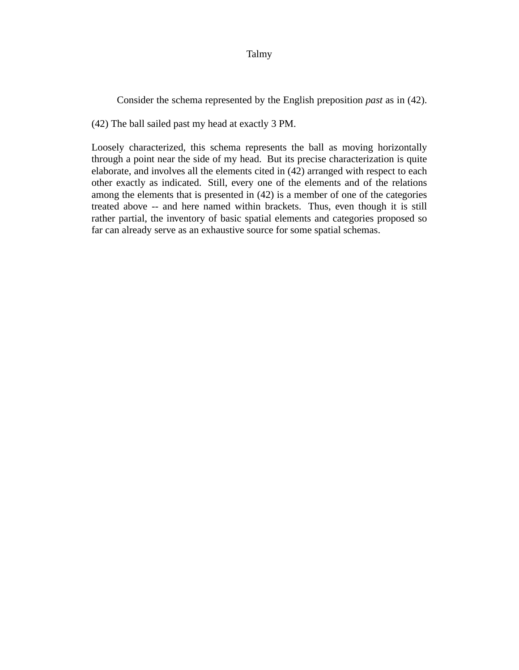Consider the schema represented by the English preposition *past* as in (42).

(42) The ball sailed past my head at exactly 3 PM.

Loosely characterized, this schema represents the ball as moving horizontally through a point near the side of my head. But its precise characterization is quite elaborate, and involves all the elements cited in (42) arranged with respect to each other exactly as indicated. Still, every one of the elements and of the relations among the elements that is presented in (42) is a member of one of the categories treated above -- and here named within brackets. Thus, even though it is still rather partial, the inventory of basic spatial elements and categories proposed so far can already serve as an exhaustive source for some spatial schemas.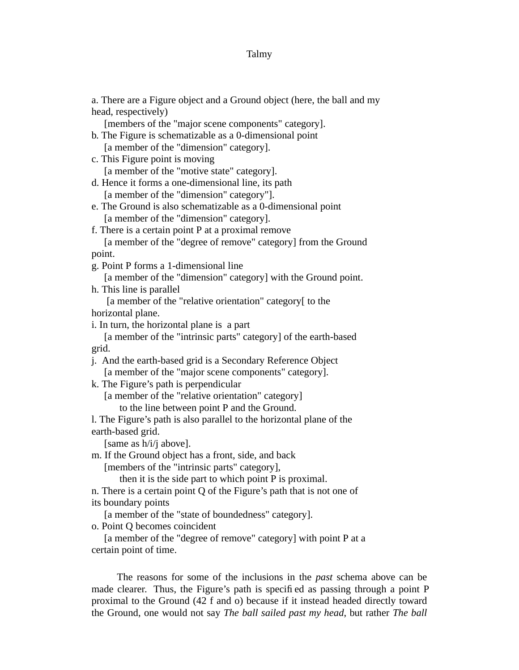| a. There are a Figure object and a Ground object (here, the ball and my |
|-------------------------------------------------------------------------|
| head, respectively)                                                     |
| [members of the "major scene components" category].                     |
| b. The Figure is schematizable as a 0-dimensional point                 |
| [a member of the "dimension" category].                                 |
| c. This Figure point is moving                                          |
| [a member of the "motive state" category].                              |
| d. Hence it forms a one-dimensional line, its path                      |
|                                                                         |
| [a member of the "dimension" category"].                                |
| e. The Ground is also schematizable as a 0-dimensional point            |
| [a member of the "dimension" category].                                 |
| f. There is a certain point P at a proximal remove                      |
| [a member of the "degree of remove" category] from the Ground           |
| point.                                                                  |
| g. Point P forms a 1-dimensional line                                   |
| [a member of the "dimension" category] with the Ground point.           |
| h. This line is parallel                                                |
| [a member of the "relative orientation" category[ to the                |
| horizontal plane.                                                       |
| i. In turn, the horizontal plane is a part                              |
| [a member of the "intrinsic parts" category] of the earth-based         |
| grid.                                                                   |
| j. And the earth-based grid is a Secondary Reference Object             |
| [a member of the "major scene components" category].                    |
| k. The Figure's path is perpendicular                                   |
| [a member of the "relative orientation" category]                       |
| to the line between point P and the Ground.                             |
|                                                                         |
| 1. The Figure's path is also parallel to the horizontal plane of the    |
| earth-based grid.                                                       |
| [same as h/i/j above].                                                  |
| m. If the Ground object has a front, side, and back                     |
| [members of the "intrinsic parts" category],                            |
| then it is the side part to which point P is proximal.                  |
| n. There is a certain point Q of the Figure's path that is not one of   |
| its boundary points                                                     |
| [a member of the "state of boundedness" category].                      |
| o. Point Q becomes coincident                                           |
| [a member of the "degree of remove" category] with point P at a         |
| certain point of time.                                                  |

The reasons for some of the inclusions in the *past* schema above can be made clearer. Thus, the Figure's path is specified as passing through a point P proximal to the Ground (42 f and o) because if it instead headed directly toward the Ground, one would not say *The ball sailed past my head*, but rather *The ball*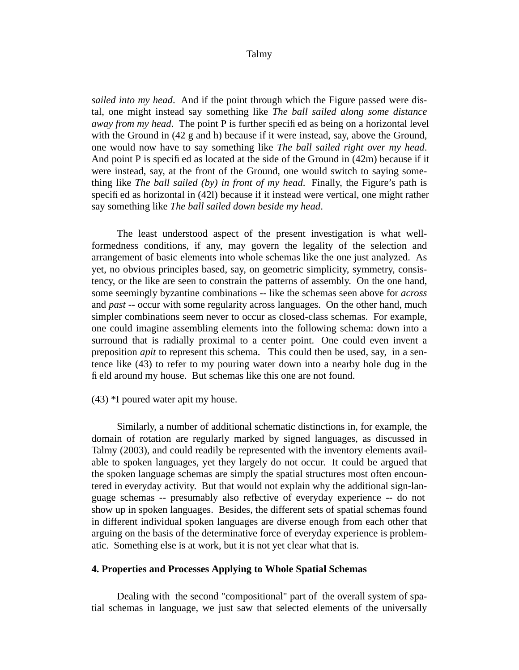*sailed into my head*. And if the point through which the Figure passed were distal, one might instead say something like *The ball sailed along some distance away from my head*. The point P is further specified as being on a horizontal level with the Ground in (42 g and h) because if it were instead, say, above the Ground, one would now have to say something like *The ball sailed right over my head*. And point P is specified as located at the side of the Ground in (42m) because if it were instead, say, at the front of the Ground, one would switch to saying something like *The ball sailed (by) in front of my head*. Finally, the Figure's path is specified as horizontal in (42l) because if it instead were vertical, one might rather say something like *The ball sailed down beside my head*.

The least understood aspect of the present investigation is what wellformedness conditions, if any, may govern the legality of the selection and arrangement of basic elements into whole schemas like the one just analyzed. As yet, no obvious principles based, say, on geometric simplicity, symmetry, consistency, or the like are seen to constrain the patterns of assembly. On the one hand, some seemingly byzantine combinations -- like the schemas seen above for *across* and *past* -- occur with some regularity across languages. On the other hand, much simpler combinations seem never to occur as closed-class schemas. For example, one could imagine assembling elements into the following schema: down into a surround that is radially proximal to a center point. One could even invent a preposition *apit* to represent this schema. This could then be used, say, in a sentence like (43) to refer to my pouring water down into a nearby hole dug in the field around my house. But schemas like this one are not found.

(43) \*I poured water apit my house.

Similarly, a number of additional schematic distinctions in, for example, the domain of rotation are regularly marked by signed languages, as discussed in Talmy (2003), and could readily be represented with the inventory elements available to spoken languages, yet they largely do not occur. It could be argued that the spoken language schemas are simply the spatial structures most often encountered in everyday activity. But that would not explain why the additional sign-language schemas -- presumably also reflective of everyday experience -- do not show up in spoken languages. Besides, the different sets of spatial schemas found in different individual spoken languages are diverse enough from each other that arguing on the basis of the determinative force of everyday experience is problematic. Something else is at work, but it is not yet clear what that is.

## **4. Properties and Processes Applying to Whole Spatial Schemas**

Dealing with the second "compositional" part of the overall system of spatial schemas in language, we just saw that selected elements of the universally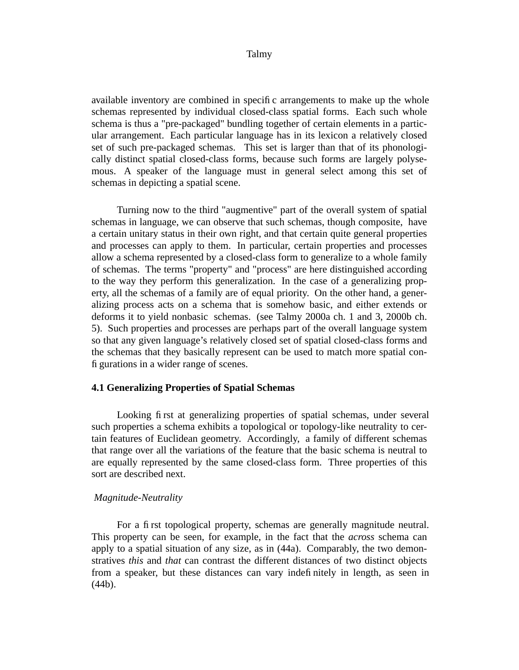available inventory are combined in specific arrangements to make up the whole schemas represented by individual closed-class spatial forms. Each such whole schema is thus a "pre-packaged" bundling together of certain elements in a particular arrangement. Each particular language has in its lexicon a relatively closed set of such pre-packaged schemas. This set is larger than that of its phonologically distinct spatial closed-class forms, because such forms are largely polysemous. A speaker of the language must in general select among this set of schemas in depicting a spatial scene.

Turning now to the third "augmentive" part of the overall system of spatial schemas in language, we can observe that such schemas, though composite, have a certain unitary status in their own right, and that certain quite general properties and processes can apply to them. In particular, certain properties and processes allow a schema represented by a closed-class form to generalize to a whole family of schemas. The terms "property" and "process" are here distinguished according to the way they perform this generalization. In the case of a generalizing property, all the schemas of a family are of equal priority. On the other hand, a generalizing process acts on a schema that is somehow basic, and either extends or deforms it to yield nonbasic schemas. (see Talmy 2000a ch. 1 and 3, 2000b ch. 5). Such properties and processes are perhaps part of the overall language system so that any given language's relatively closed set of spatial closed-class forms and the schemas that they basically represent can be used to match more spatial configurations in a wider range of scenes.

## **4.1 Generalizing Properties of Spatial Schemas**

Looking first at generalizing properties of spatial schemas, under several such properties a schema exhibits a topological or topology-like neutrality to certain features of Euclidean geometry. Accordingly, a family of different schemas that range over all the variations of the feature that the basic schema is neutral to are equally represented by the same closed-class form. Three properties of this sort are described next.

## *Magnitude-Neutrality*

For a first topological property, schemas are generally magnitude neutral. This property can be seen, for example, in the fact that the *across* schema can apply to a spatial situation of any size, as in (44a). Comparably, the two demonstratives *this* and *that* can contrast the different distances of two distinct objects from a speaker, but these distances can vary indefinitely in length, as seen in (44b).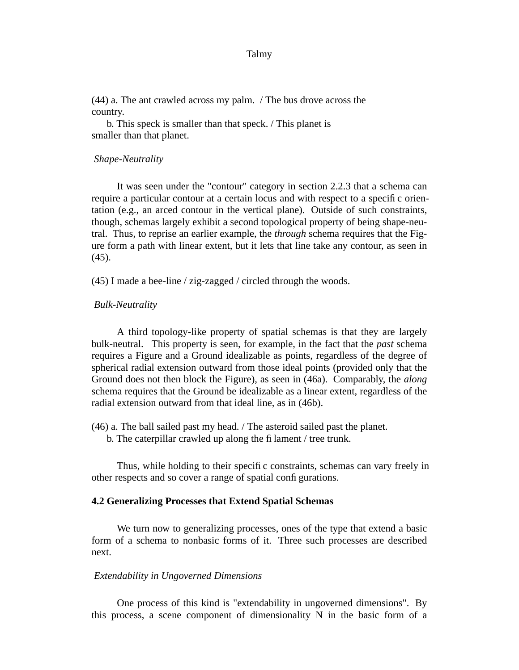(44) a. The ant crawled across my palm. / The bus drove across the country.

b. This speck is smaller than that speck. / This planet is smaller than that planet.

## *Shape-Neutrality*

It was seen under the "contour" category in section 2.2.3 that a schema can require a particular contour at a certain locus and with respect to a specific orientation (e.g., an arced contour in the vertical plane). Outside of such constraints, though, schemas largely exhibit a second topological property of being shape-neutral. Thus, to reprise an earlier example, the *through* schema requires that the Figure form a path with linear extent, but it lets that line take any contour, as seen in (45).

(45) I made a bee-line / zig-zagged / circled through the woods.

#### *Bulk-Neutrality*

A third topology-like property of spatial schemas is that they are largely bulk-neutral. This property is seen, for example, in the fact that the *past* schema requires a Figure and a Ground idealizable as points, regardless of the degree of spherical radial extension outward from those ideal points (provided only that the Ground does not then block the Figure), as seen in (46a). Comparably, the *along* schema requires that the Ground be idealizable as a linear extent, regardless of the radial extension outward from that ideal line, as in (46b).

(46) a. The ball sailed past my head. / The asteroid sailed past the planet.

b. The caterpillar crawled up along the filament / tree trunk.

Thus, while holding to their specific constraints, schemas can vary freely in other respects and so cover a range of spatial configurations.

#### **4.2 Generalizing Processes that Extend Spatial Schemas**

We turn now to generalizing processes, ones of the type that extend a basic form of a schema to nonbasic forms of it. Three such processes are described next.

## *Extendability in Ungoverned Dimensions*

One process of this kind is "extendability in ungoverned dimensions". By this process, a scene component of dimensionality N in the basic form of a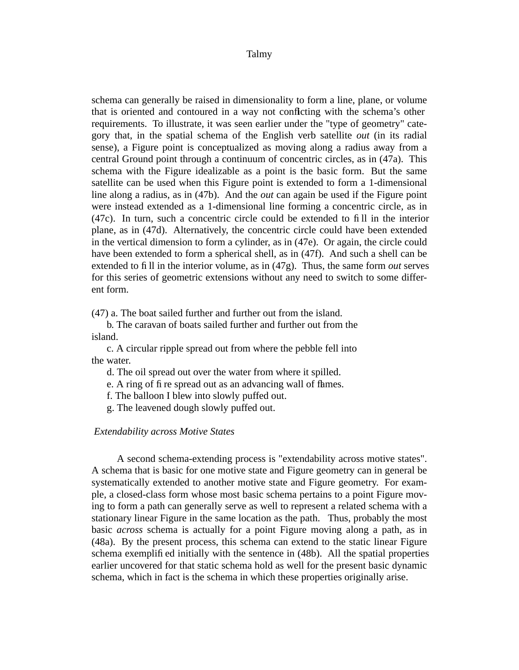schema can generally be raised in dimensionality to form a line, plane, or volume that is oriented and contoured in a way not confleting with the schema's other requirements. To illustrate, it was seen earlier under the "type of geometry" category that, in the spatial schema of the English verb satellite *out* (in its radial sense), a Figure point is conceptualized as moving along a radius away from a central Ground point through a continuum of concentric circles, as in (47a). This schema with the Figure idealizable as a point is the basic form. But the same satellite can be used when this Figure point is extended to form a 1-dimensional line along a radius, as in (47b). And the *out* can again be used if the Figure point were instead extended as a 1-dimensional line forming a concentric circle, as in (47c). In turn, such a concentric circle could be extended to fill in the interior plane, as in (47d). Alternatively, the concentric circle could have been extended in the vertical dimension to form a cylinder, as in (47e). Or again, the circle could have been extended to form a spherical shell, as in (47f). And such a shell can be extended to fill in the interior volume, as in (47g). Thus, the same form *out* serves for this series of geometric extensions without any need to switch to some different form.

(47) a. The boat sailed further and further out from the island.

b. The caravan of boats sailed further and further out from the island.

c. A circular ripple spread out from where the pebble fell into the water.

d. The oil spread out over the water from where it spilled.

e. A ring of fire spread out as an advancing wall of flames.

f. The balloon I blew into slowly puffed out.

g. The leavened dough slowly puffed out.

#### *Extendability across Motive States*

A second schema-extending process is "extendability across motive states". A schema that is basic for one motive state and Figure geometry can in general be systematically extended to another motive state and Figure geometry. For example, a closed-class form whose most basic schema pertains to a point Figure moving to form a path can generally serve as well to represent a related schema with a stationary linear Figure in the same location as the path. Thus, probably the most basic *across* schema is actually for a point Figure moving along a path, as in (48a). By the present process, this schema can extend to the static linear Figure schema exemplified initially with the sentence in (48b). All the spatial properties earlier uncovered for that static schema hold as well for the present basic dynamic schema, which in fact is the schema in which these properties originally arise.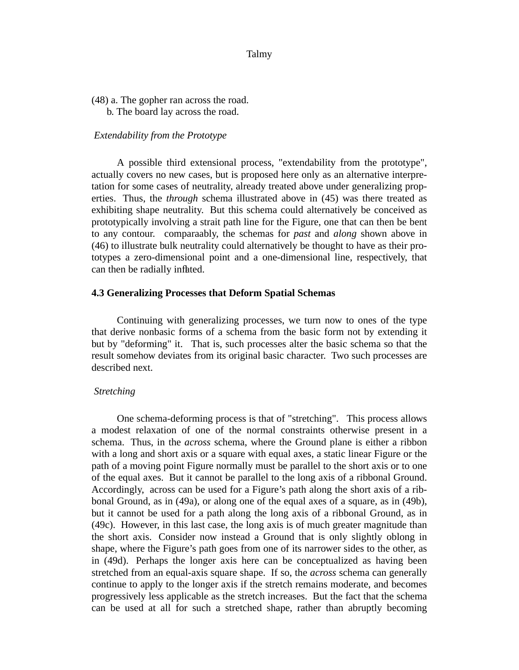(48) a. The gopher ran across the road.

b. The board lay across the road.

## *Extendability from the Prototype*

A possible third extensional process, "extendability from the prototype", actually covers no new cases, but is proposed here only as an alternative interpretation for some cases of neutrality, already treated above under generalizing properties. Thus, the *through* schema illustrated above in (45) was there treated as exhibiting shape neutrality. But this schema could alternatively be conceived as prototypically involving a strait path line for the Figure, one that can then be bent to any contour. comparaably, the schemas for *past* and *along* shown above in (46) to illustrate bulk neutrality could alternatively be thought to have as their prototypes a zero-dimensional point and a one-dimensional line, respectively, that can then be radially inflated.

## **4.3 Generalizing Processes that Deform Spatial Schemas**

Continuing with generalizing processes, we turn now to ones of the type that derive nonbasic forms of a schema from the basic form not by extending it but by "deforming" it. That is, such processes alter the basic schema so that the result somehow deviates from its original basic character. Two such processes are described next.

## *Stretching*

One schema-deforming process is that of "stretching". This process allows a modest relaxation of one of the normal constraints otherwise present in a schema. Thus, in the *across* schema, where the Ground plane is either a ribbon with a long and short axis or a square with equal axes, a static linear Figure or the path of a moving point Figure normally must be parallel to the short axis or to one of the equal axes. But it cannot be parallel to the long axis of a ribbonal Ground. Accordingly, across can be used for a Figure's path along the short axis of a ribbonal Ground, as in (49a), or along one of the equal axes of a square, as in (49b), but it cannot be used for a path along the long axis of a ribbonal Ground, as in (49c). However, in this last case, the long axis is of much greater magnitude than the short axis. Consider now instead a Ground that is only slightly oblong in shape, where the Figure's path goes from one of its narrower sides to the other, as in (49d). Perhaps the longer axis here can be conceptualized as having been stretched from an equal-axis square shape. If so, the *across* schema can generally continue to apply to the longer axis if the stretch remains moderate, and becomes progressively less applicable as the stretch increases. But the fact that the schema can be used at all for such a stretched shape, rather than abruptly becoming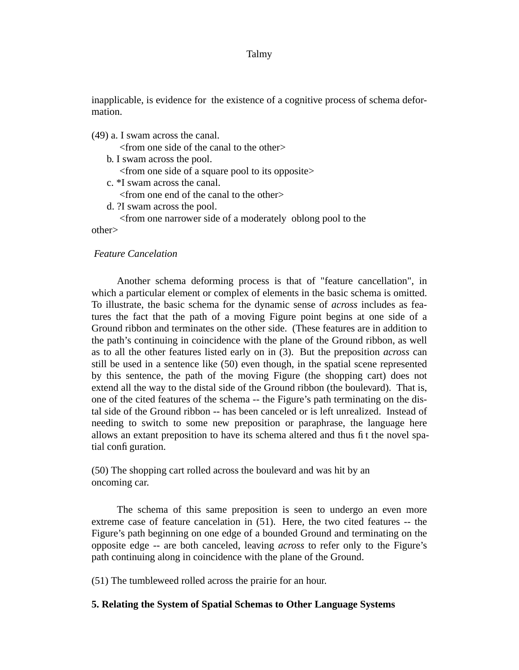inapplicable, is evidence for the existence of a cognitive process of schema deformation.

(49) a. I swam across the canal.

<from one side of the canal to the other>

- b. I swam across the pool.
	- <from one side of a square pool to its opposite>
- c. \*I swam across the canal.
	- <from one end of the canal to the other>
- d. ?I swam across the pool.

<from one narrower side of a moderately oblong pool to the

other>

*Feature Cancelation*

Another schema deforming process is that of "feature cancellation", in which a particular element or complex of elements in the basic schema is omitted. To illustrate, the basic schema for the dynamic sense of *across* includes as features the fact that the path of a moving Figure point begins at one side of a Ground ribbon and terminates on the other side. (These features are in addition to the path's continuing in coincidence with the plane of the Ground ribbon, as well as to all the other features listed early on in (3). But the preposition *across* can still be used in a sentence like (50) even though, in the spatial scene represented by this sentence, the path of the moving Figure (the shopping cart) does not extend all the way to the distal side of the Ground ribbon (the boulevard). That is, one of the cited features of the schema -- the Figure's path terminating on the distal side of the Ground ribbon -- has been canceled or is left unrealized. Instead of needing to switch to some new preposition or paraphrase, the language here allows an extant preposition to have its schema altered and thus fit the novel spatial configuration.

(50) The shopping cart rolled across the boulevard and was hit by an oncoming car.

The schema of this same preposition is seen to undergo an even more extreme case of feature cancelation in (51). Here, the two cited features -- the Figure's path beginning on one edge of a bounded Ground and terminating on the opposite edge -- are both canceled, leaving *across* to refer only to the Figure's path continuing along in coincidence with the plane of the Ground.

(51) The tumbleweed rolled across the prairie for an hour.

## **5. Relating the System of Spatial Schemas to Other Language Systems**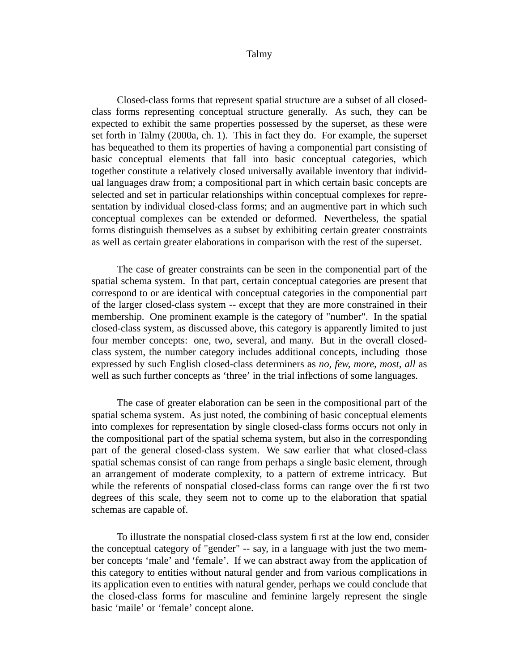Closed-class forms that represent spatial structure are a subset of all closedclass forms representing conceptual structure generally. As such, they can be expected to exhibit the same properties possessed by the superset, as these were set forth in Talmy (2000a, ch. 1). This in fact they do. For example, the superset has bequeathed to them its properties of having a componential part consisting of basic conceptual elements that fall into basic conceptual categories, which together constitute a relatively closed universally available inventory that individual languages draw from; a compositional part in which certain basic concepts are selected and set in particular relationships within conceptual complexes for representation by individual closed-class forms; and an augmentive part in which such conceptual complexes can be extended or deformed. Nevertheless, the spatial forms distinguish themselves as a subset by exhibiting certain greater constraints as well as certain greater elaborations in comparison with the rest of the superset.

The case of greater constraints can be seen in the componential part of the spatial schema system. In that part, certain conceptual categories are present that correspond to or are identical with conceptual categories in the componential part of the larger closed-class system -- except that they are more constrained in their membership. One prominent example is the category of "number". In the spatial closed-class system, as discussed above, this category is apparently limited to just four member concepts: one, two, several, and many. But in the overall closedclass system, the number category includes additional concepts, including those expressed by such English closed-class determiners as *no, few, more, most, all* as well as such further concepts as 'three' in the trial inflections of some languages.

The case of greater elaboration can be seen in the compositional part of the spatial schema system. As just noted, the combining of basic conceptual elements into complexes for representation by single closed-class forms occurs not only in the compositional part of the spatial schema system, but also in the corresponding part of the general closed-class system. We saw earlier that what closed-class spatial schemas consist of can range from perhaps a single basic element, through an arrangement of moderate complexity, to a pattern of extreme intricacy. But while the referents of nonspatial closed-class forms can range over the first two degrees of this scale, they seem not to come up to the elaboration that spatial schemas are capable of.

To illustrate the nonspatial closed-class system first at the low end, consider the conceptual category of "gender" -- say, in a language with just the two member concepts 'male' and 'female'. If we can abstract away from the application of this category to entities without natural gender and from various complications in its application even to entities with natural gender, perhaps we could conclude that the closed-class forms for masculine and feminine largely represent the single basic 'maile' or 'female' concept alone.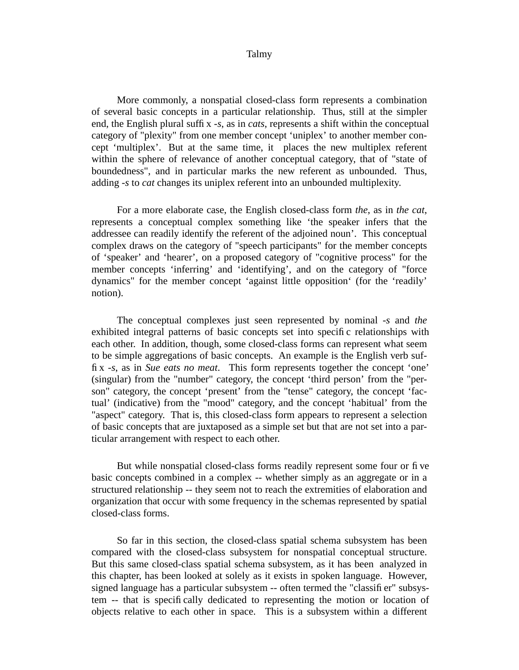More commonly, a nonspatial closed-class form represents a combination of several basic concepts in a particular relationship. Thus, still at the simpler end, the English plural suffix *-s*, as in *cats*, represents a shift within the conceptual category of "plexity" from one member concept 'uniplex' to another member concept 'multiplex'. But at the same time, it places the new multiplex referent within the sphere of relevance of another conceptual category, that of "state of boundedness", and in particular marks the new referent as unbounded. Thus, adding *-s* to *cat* changes its uniplex referent into an unbounded multiplexity.

For a more elaborate case, the English closed-class form *the*, as in *the cat*, represents a conceptual complex something like 'the speaker infers that the addressee can readily identify the referent of the adjoined noun'. This conceptual complex draws on the category of "speech participants" for the member concepts of 'speaker' and 'hearer', on a proposed category of "cognitive process" for the member concepts 'inferring' and 'identifying', and on the category of "force dynamics" for the member concept 'against little opposition' (for the 'readily' notion).

The conceptual complexes just seen represented by nominal *-s* and *the* exhibited integral patterns of basic concepts set into specific relationships with each other. In addition, though, some closed-class forms can represent what seem to be simple aggregations of basic concepts. An example is the English verb suffix *-s*, as in *Sue eats no meat*. This form represents together the concept 'one' (singular) from the "number" category, the concept 'third person' from the "person" category, the concept 'present' from the "tense" category, the concept 'factual' (indicative) from the "mood" category, and the concept 'habitual' from the "aspect" category. That is, this closed-class form appears to represent a selection of basic concepts that are juxtaposed as a simple set but that are not set into a particular arrangement with respect to each other.

But while nonspatial closed-class forms readily represent some four or five basic concepts combined in a complex -- whether simply as an aggregate or in a structured relationship -- they seem not to reach the extremities of elaboration and organization that occur with some frequency in the schemas represented by spatial closed-class forms.

So far in this section, the closed-class spatial schema subsystem has been compared with the closed-class subsystem for nonspatial conceptual structure. But this same closed-class spatial schema subsystem, as it has been analyzed in this chapter, has been looked at solely as it exists in spoken language. However, signed language has a particular subsystem -- often termed the "classifier" subsystem -- that is specifically dedicated to representing the motion or location of objects relative to each other in space. This is a subsystem within a different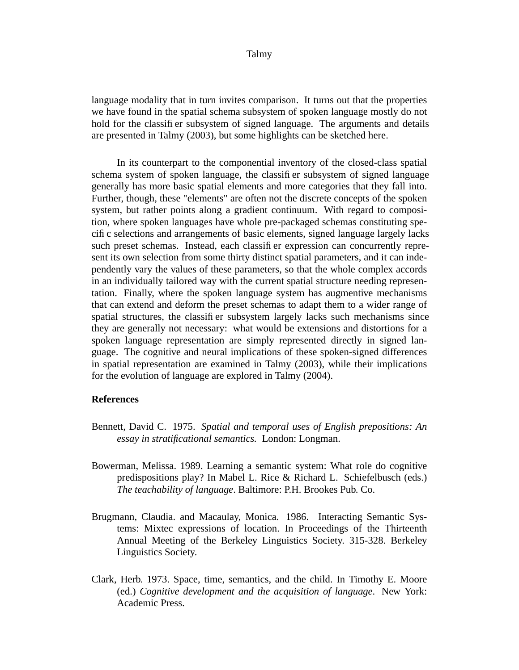language modality that in turn invites comparison. It turns out that the properties we have found in the spatial schema subsystem of spoken language mostly do not hold for the classifier subsystem of signed language. The arguments and details are presented in Talmy (2003), but some highlights can be sketched here.

In its counterpart to the componential inventory of the closed-class spatial schema system of spoken language, the classifier subsystem of signed language generally has more basic spatial elements and more categories that they fall into. Further, though, these "elements" are often not the discrete concepts of the spoken system, but rather points along a gradient continuum. With regard to composition, where spoken languages have whole pre-packaged schemas constituting specific selections and arrangements of basic elements, signed language largely lacks such preset schemas. Instead, each classifier expression can concurrently represent its own selection from some thirty distinct spatial parameters, and it can independently vary the values of these parameters, so that the whole complex accords in an individually tailored way with the current spatial structure needing representation. Finally, where the spoken language system has augmentive mechanisms that can extend and deform the preset schemas to adapt them to a wider range of spatial structures, the classifier subsystem largely lacks such mechanisms since they are generally not necessary: what would be extensions and distortions for a spoken language representation are simply represented directly in signed language. The cognitive and neural implications of these spoken-signed differences in spatial representation are examined in Talmy (2003), while their implications for the evolution of language are explored in Talmy (2004).

## **References**

- Bennett, David C. 1975. *Spatial and temporal uses of English prepositions: An essay in stratificational semantics.* London: Longman.
- Bowerman, Melissa. 1989. Learning a semantic system: What role do cognitive predispositions play? In Mabel L. Rice & Richard L. Schiefelbusch (eds.) *The teachability of language*. Baltimore: P.H. Brookes Pub. Co.
- Brugmann, Claudia. and Macaulay, Monica. 1986. Interacting Semantic Systems: Mixtec expressions of location. In Proceedings of the Thirteenth Annual Meeting of the Berkeley Linguistics Society. 315-328. Berkeley Linguistics Society.
- Clark, Herb. 1973. Space, time, semantics, and the child. In Timothy E. Moore (ed.) *Cognitive development and the acquisition of language*. New York: Academic Press.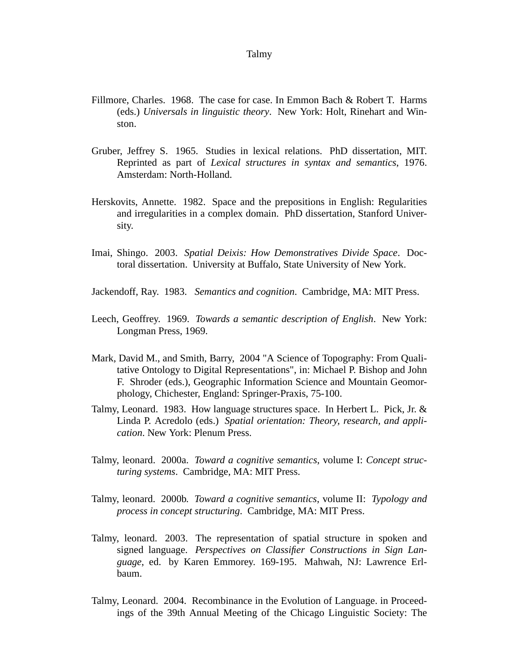- Fillmore, Charles. 1968. The case for case. In Emmon Bach & Robert T. Harms (eds.) *Universals in linguistic theory*. New York: Holt, Rinehart and Winston.
- Gruber, Jeffrey S. 1965. Studies in lexical relations. PhD dissertation, MIT. Reprinted as part of *Lexical structures in syntax and semantics*, 1976. Amsterdam: North-Holland.
- Herskovits, Annette. 1982. Space and the prepositions in English: Regularities and irregularities in a complex domain. PhD dissertation, Stanford University.
- Imai, Shingo. 2003. *Spatial Deixis: How Demonstratives Divide Space*. Doctoral dissertation. University at Buffalo, State University of New York.
- Jackendoff, Ray. 1983. *Semantics and cognition*. Cambridge, MA: MIT Press.
- Leech, Geoffrey. 1969. *Towards a semantic description of English*. New York: Longman Press, 1969.
- Mark, David M., and Smith, Barry, 2004 "A Science of Topography: From Qualitative Ontology to Digital Representations", in: Michael P. Bishop and John F. Shroder (eds.), Geographic Information Science and Mountain Geomorphology, Chichester, England: Springer-Praxis, 75-100.
- Talmy, Leonard. 1983. How language structures space. In Herbert L. Pick, Jr. & Linda P. Acredolo (eds.) *Spatial orientation: Theory, research, and application*. New York: Plenum Press.
- Talmy, leonard. 2000a. *Toward a cognitive semantics*, volume I: *Concept structuring systems*. Cambridge, MA: MIT Press.
- Talmy, leonard. 2000b. *Towardacognitive semantics*, volume II: *Typology and process in concept structuring*. Cambridge, MA: MIT Press.
- Talmy, leonard. 2003. The representation of spatial structure in spoken and signed language. *Perspectives on Classifier Constructions in Sign Language*, ed. by Karen Emmorey. 169-195. Mahwah, NJ: Lawrence Erlbaum.
- Talmy, Leonard. 2004. Recombinance in the Evolution of Language. in Proceedings of the 39th Annual Meeting of the Chicago Linguistic Society: The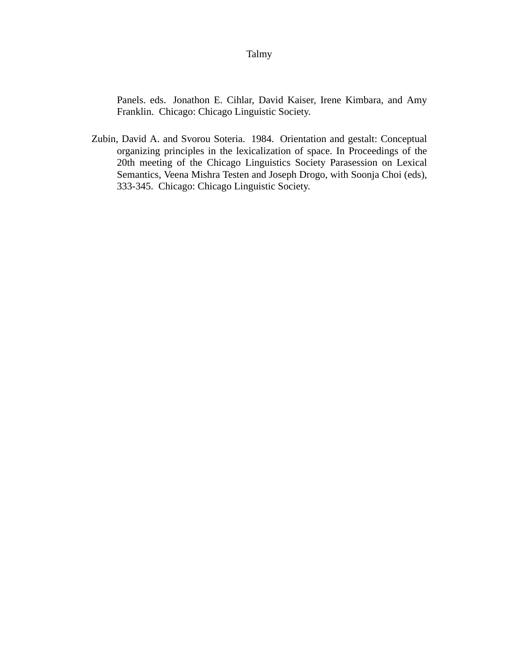Panels. eds. Jonathon E. Cihlar, David Kaiser, Irene Kimbara, and Amy Franklin. Chicago: Chicago Linguistic Society.

Zubin, David A. and Svorou Soteria. 1984. Orientation and gestalt: Conceptual organizing principles in the lexicalization of space. In Proceedings of the 20th meeting of the Chicago Linguistics Society Parasession on Lexical Semantics, Veena Mishra Testen and Joseph Drogo, with Soonja Choi (eds), 333-345. Chicago: Chicago Linguistic Society.